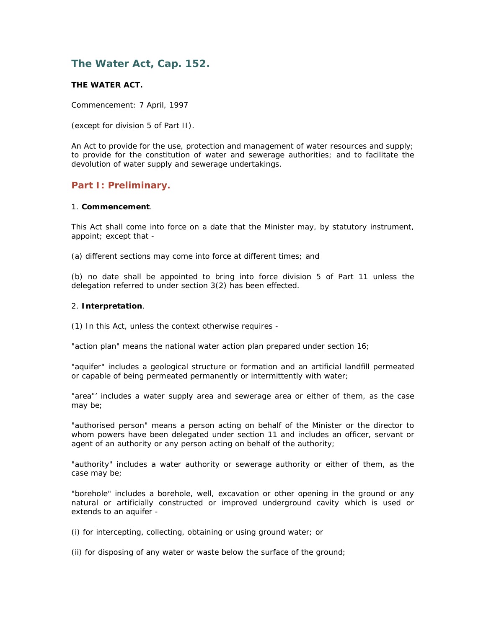# **The Water Act, Cap. 152.**

## **THE WATER ACT.**

Commencement: 7 April, 1997

(except for division 5 of Part II).

An Act to provide for the use, protection and management of water resources and supply; to provide for the constitution of water and sewerage authorities; and to facilitate the devolution of water supply and sewerage undertakings.

## **Part I: Preliminary.**

#### 1. **Commencement**.

This Act shall come into force on a date that the Minister may, by statutory instrument, appoint; except that -

(a) different sections may come into force at different times; and

(b) no date shall be appointed to bring into force division 5 of Part 11 unless the delegation referred to under section 3(2) has been effected.

#### 2. **Interpretation**.

(1) In this Act, unless the context otherwise requires -

"action plan" means the national water action plan prepared under section 16;

"aquifer" includes a geological structure or formation and an artificial landfill permeated or capable of being permeated permanently or intermittently with water;

"area"' includes a water supply area and sewerage area or either of them, as the case may be;

"authorised person" means a person acting on behalf of the Minister or the director to whom powers have been delegated under section 11 and includes an officer, servant or agent of an authority or any person acting on behalf of the authority;

"authority" includes a water authority or sewerage authority or either of them, as the case may be;

"borehole" includes a borehole, well, excavation or other opening in the ground or any natural or artificially constructed or improved underground cavity which is used or extends to an aquifer -

(i) for intercepting, collecting, obtaining or using ground water; or

(ii) for disposing of any water or waste below the surface of the ground;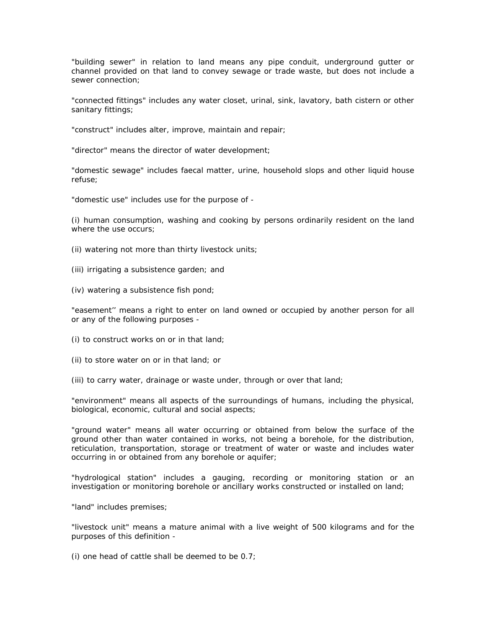"building sewer" in relation to land means any pipe conduit, underground gutter or channel provided on that land to convey sewage or trade waste, but does not include a sewer connection;

"connected fittings" includes any water closet, urinal, sink, lavatory, bath cistern or other sanitary fittings;

"construct" includes alter, improve, maintain and repair;

"director" means the director of water development;

"domestic sewage" includes faecal matter, urine, household slops and other liquid house refuse;

"domestic use" includes use for the purpose of -

(i) human consumption, washing and cooking by persons ordinarily resident on the land where the use occurs;

- (ii) watering not more than thirty livestock units;
- (iii) irrigating a subsistence garden; and
- (iv) watering a subsistence fish pond;

"easement'' means a right to enter on land owned or occupied by another person for all or any of the following purposes -

- (i) to construct works on or in that land;
- (ii) to store water on or in that land; or
- (iii) to carry water, drainage or waste under, through or over that land;

"environment" means all aspects of the surroundings of humans, including the physical, biological, economic, cultural and social aspects;

"ground water" means all water occurring or obtained from below the surface of the ground other than water contained in works, not being a borehole, for the distribution, reticulation, transportation, storage or treatment of water or waste and includes water occurring in or obtained from any borehole or aquifer;

"hydrological station" includes a gauging, recording or monitoring station or an investigation or monitoring borehole or ancillary works constructed or installed on land;

"land" includes premises;

"livestock unit" means a mature animal with a live weight of 500 kilograms and for the purposes of this definition -

(i) one head of cattle shall be deemed to be 0.7;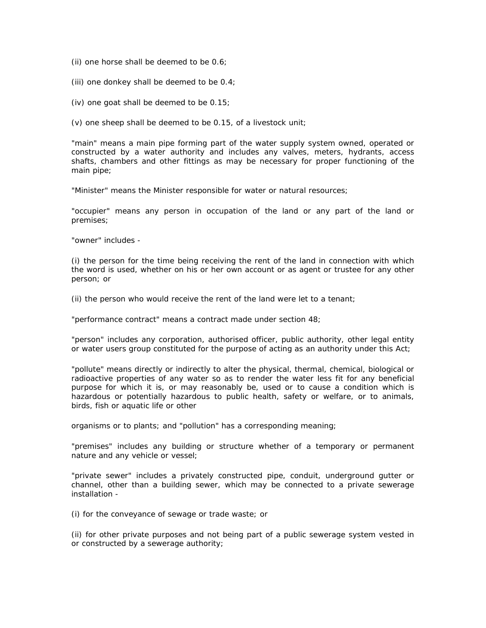(ii) one horse shall be deemed to be 0.6;

(iii) one donkey shall be deemed to be 0.4;

(iv) one goat shall be deemed to be 0.15;

(v) one sheep shall be deemed to be 0.15, of a livestock unit;

"main" means a main pipe forming part of the water supply system owned, operated or constructed by a water authority and includes any valves, meters, hydrants, access shafts, chambers and other fittings as may be necessary for proper functioning of the main pipe;

"Minister" means the Minister responsible for water or natural resources;

"occupier" means any person in occupation of the land or any part of the land or premises;

"owner" includes -

(i) the person for the time being receiving the rent of the land in connection with which the word is used, whether on his or her own account or as agent or trustee for any other person; or

(ii) the person who would receive the rent of the land were let to a tenant;

"performance contract" means a contract made under section 48;

"person" includes any corporation, authorised officer, public authority, other legal entity or water users group constituted for the purpose of acting as an authority under this Act;

"pollute" means directly or indirectly to alter the physical, thermal, chemical, biological or radioactive properties of any water so as to render the water less fit for any beneficial purpose for which it is, or may reasonably be, used or to cause a condition which is hazardous or potentially hazardous to public health, safety or welfare, or to animals, birds, fish or aquatic life or other

organisms or to plants; and "pollution" has a corresponding meaning;

"premises" includes any building or structure whether of a temporary or permanent nature and any vehicle or vessel;

"private sewer" includes a privately constructed pipe, conduit, underground gutter or channel, other than a building sewer, which may be connected to a private sewerage installation -

(i) for the conveyance of sewage or trade waste; or

(ii) for other private purposes and not being part of a public sewerage system vested in or constructed by a sewerage authority;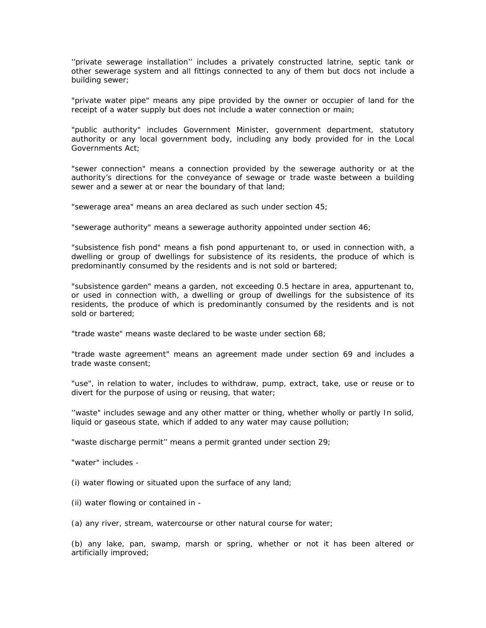''private sewerage installation'' includes a privately constructed latrine, septic tank or other sewerage system and all fittings connected to any of them but docs not include a building sewer;

"private water pipe" means any pipe provided by the owner or occupier of land for the receipt of a water supply but does not include a water connection or main;

"public authority" includes Government Minister, government department, statutory authority or any local government body, including any body provided for in the Local Governments Act;

"sewer connection" means a connection provided by the sewerage authority or at the authority's directions for the conveyance of sewage or trade waste between a building sewer and a sewer at or near the boundary of that land;

"sewerage area" means an area declared as such under section 45;

"sewerage authority" means a sewerage authority appointed under section 46;

"subsistence fish pond" means a fish pond appurtenant to, or used in connection with, a dwelling or group of dwellings for subsistence of its residents, the produce of which is predominantly consumed by the residents and is not sold or bartered;

"subsistence garden" means a garden, not exceeding 0.5 hectare in area, appurtenant to, or used in connection with, a dwelling or group of dwellings for the subsistence of its residents, the produce of which is predominantly consumed by the residents and is not sold or bartered;

"trade waste" means waste declared to be waste under section 68;

"trade waste agreement" means an agreement made under section 69 and includes a trade waste consent;

"use", in relation to water, includes to withdraw, pump, extract, take, use or reuse or to divert for the purpose of using or reusing, that water;

''waste" includes sewage and any other matter or thing, whether wholly or partly In solid, liquid or gaseous state, which if added to any water may cause pollution;

"waste discharge permit'' means a permit granted under section 29;

"water" includes -

(i) water flowing or situated upon the surface of any land;

(ii) water flowing or contained in -

(a) any river, stream, watercourse or other natural course for water;

(b) any lake, pan, swamp, marsh or spring, whether or not it has been altered or artificially improved;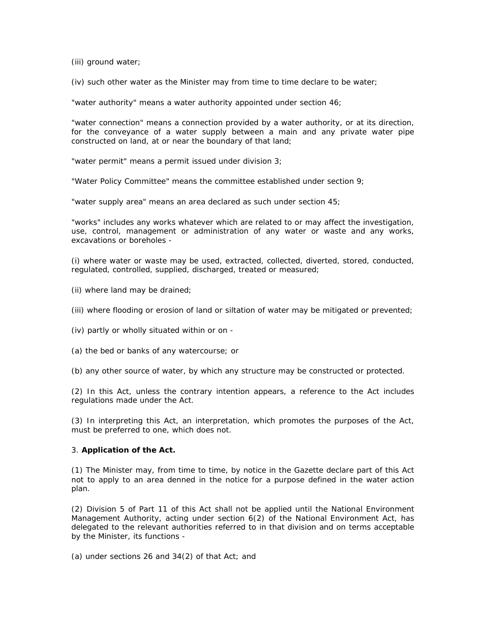(iii) ground water;

(iv) such other water as the Minister may from time to time declare to be water;

"water authority" means a water authority appointed under section 46;

"water connection" means a connection provided by a water authority, or at its direction, for the conveyance of a water supply between a main and any private water pipe constructed on land, at or near the boundary of that land;

"water permit" means a permit issued under division 3;

"Water Policy Committee" means the committee established under section 9;

"water supply area" means an area declared as such under section 45;

"works" includes any works whatever which are related to or may affect the investigation, use, control, management or administration of any water or waste and any works, excavations or boreholes -

(i) where water or waste may be used, extracted, collected, diverted, stored, conducted, regulated, controlled, supplied, discharged, treated or measured;

- (ii) where land may be drained;
- (iii) where flooding or erosion of land or siltation of water may be mitigated or prevented;
- (iv) partly or wholly situated within or on -
- (a) the bed or banks of any watercourse; or
- (b) any other source of water, by which any structure may be constructed or protected.

(2) In this Act, unless the contrary intention appears, a reference to the Act includes regulations made under the Act.

(3) In interpreting this Act, an interpretation, which promotes the purposes of the Act, must be preferred to one, which does not.

#### 3. **Application of the Act.**

(1) The Minister may, from time to time, by notice in the Gazette declare part of this Act not to apply to an area denned in the notice for a purpose defined in the water action plan.

(2) Division 5 of Part 11 of this Act shall not be applied until the National Environment Management Authority, acting under section 6(2) of the National Environment Act, has delegated to the relevant authorities referred to in that division and on terms acceptable by the Minister, its functions -

(a) under sections 26 and 34(2) of that Act; and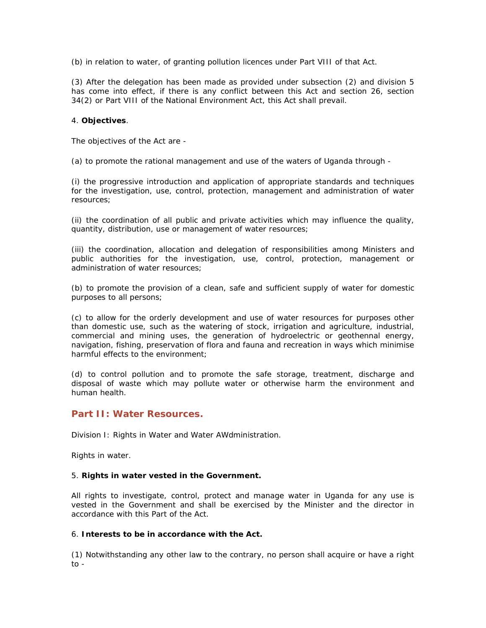(b) in relation to water, of granting pollution licences under Part VIII of that Act.

(3) After the delegation has been made as provided under subsection (2) and division 5 has come into effect, if there is any conflict between this Act and section 26, section 34(2) or Part VIII of the National Environment Act, this Act shall prevail.

#### 4. **Objectives**.

The objectives of the Act are -

(a) to promote the rational management and use of the waters of Uganda through -

(i) the progressive introduction and application of appropriate standards and techniques for the investigation, use, control, protection, management and administration of water resources;

(ii) the coordination of all public and private activities which may influence the quality, quantity, distribution, use or management of water resources;

(iii) the coordination, allocation and delegation of responsibilities among Ministers and public authorities for the investigation, use, control, protection, management or administration of water resources;

(b) to promote the provision of a clean, safe and sufficient supply of water for domestic purposes to all persons;

(c) to allow for the orderly development and use of water resources for purposes other than domestic use, such as the watering of stock, irrigation and agriculture, industrial, commercial and mining uses, the generation of hydroelectric or geothennal energy, navigation, fishing, preservation of flora and fauna and recreation in ways which minimise harmful effects to the environment;

(d) to control pollution and to promote the safe storage, treatment, discharge and disposal of waste which may pollute water or otherwise harm the environment and human health.

## **Part II: Water Resources.**

Division I: Rights in Water and Water AWdministration.

*Rights in water.*

## 5. **Rights in water vested in the Government.**

All rights to investigate, control, protect and manage water in Uganda for any use is vested in the Government and shall be exercised by the Minister and the director in accordance with this Part of the Act.

## 6. **Interests to be in accordance with the Act.**

(1) Notwithstanding any other law to the contrary, no person shall acquire or have a right to -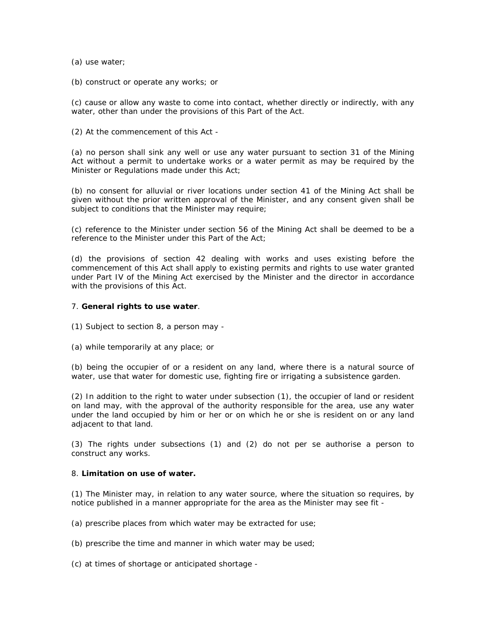(a) use water;

(b) construct or operate any works; or

(c) cause or allow any waste to come into contact, whether directly or indirectly, with any water, other than under the provisions of this Part of the Act.

(2) At the commencement of this Act -

(a) no person shall sink any well or use any water pursuant to section 31 of the Mining Act without a permit to undertake works or a water permit as may be required by the Minister or Regulations made under this Act;

(b) no consent for alluvial or river locations under section 41 of the Mining Act shall be given without the prior written approval of the Minister, and any consent given shall be subject to conditions that the Minister may require;

(c) reference to the Minister under section 56 of the Mining Act shall be deemed to be a reference to the Minister under this Part of the Act;

(d) the provisions of section 42 dealing with works and uses existing before the commencement of this Act shall apply to existing permits and rights to use water granted under Part IV of the Mining Act exercised by the Minister and the director in accordance with the provisions of this Act.

#### 7. **General rights to use water**.

(1) Subject to section 8, a person may -

(a) while temporarily at any place; or

(b) being the occupier of or a resident on any land, where there is a natural source of water, use that water for domestic use, fighting fire or irrigating a subsistence garden.

(2) In addition to the right to water under subsection (1), the occupier of land or resident on land may, with the approval of the authority responsible for the area, use any water under the land occupied by him or her or on which he or she is resident on or any land adjacent to that land.

(3) The rights under subsections (1) and (2) do not per se authorise a person to construct any works.

#### 8. **Limitation on use of water.**

(1) The Minister may, in relation to any water source, where the situation so requires, by notice published in a manner appropriate for the area as the Minister may see fit -

(a) prescribe places from which water may be extracted for use;

(b) prescribe the time and manner in which water may be used;

(c) at times of shortage or anticipated shortage -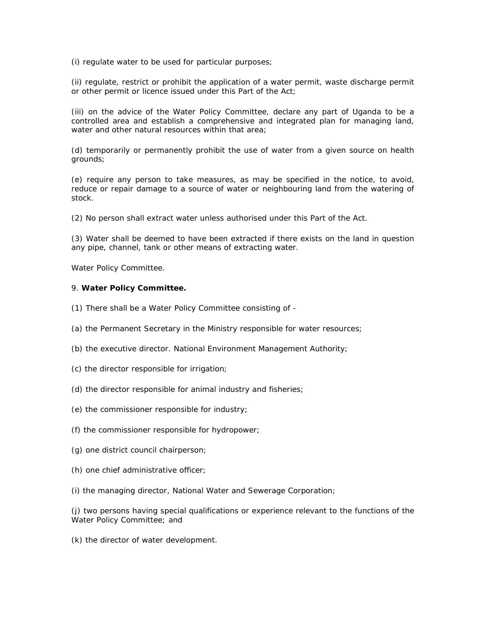(i) regulate water to be used for particular purposes;

(ii) regulate, restrict or prohibit the application of a water permit, waste discharge permit or other permit or licence issued under this Part of the Act;

(iii) on the advice of the Water Policy Committee, declare any part of Uganda to be a controlled area and establish a comprehensive and integrated plan for managing land, water and other natural resources within that area;

(d) temporarily or permanently prohibit the use of water from a given source on health grounds;

(e) require any person to take measures, as may be specified in the notice, to avoid, reduce or repair damage to a source of water or neighbouring land from the watering of stock.

(2) No person shall extract water unless authorised under this Part of the Act.

(3) Water shall be deemed to have been extracted if there exists on the land in question any pipe, channel, tank or other means of extracting water.

#### *Water Policy Committee.*

#### 9. **Water Policy Committee.**

- (1) There shall be a Water Policy Committee consisting of -
- (a) the Permanent Secretary in the Ministry responsible for water resources;
- (b) the executive director. National Environment Management Authority;
- (c) the director responsible for irrigation;
- (d) the director responsible for animal industry and fisheries;
- (e) the commissioner responsible for industry;
- (f) the commissioner responsible for hydropower;
- (g) one district council chairperson;
- (h) one chief administrative officer;
- (i) the managing director, National Water and Sewerage Corporation;

(j) two persons having special qualifications or experience relevant to the functions of the Water Policy Committee; and

(k) the director of water development.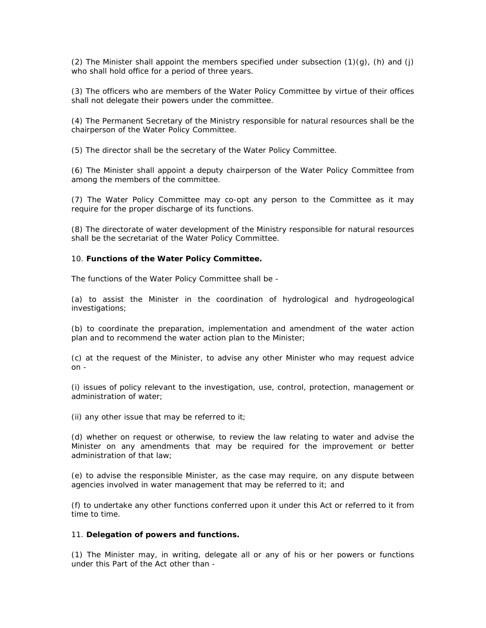(2) The Minister shall appoint the members specified under subsection  $(1)(q)$ ,  $(h)$  and  $(i)$ who shall hold office for a period of three years.

(3) The officers who are members of the Water Policy Committee by virtue of their offices shall not delegate their powers under the committee.

(4) The Permanent Secretary of the Ministry responsible for natural resources shall be the chairperson of the Water Policy Committee.

(5) The director shall be the secretary of the Water Policy Committee.

(6) The Minister shall appoint a deputy chairperson of the Water Policy Committee from among the members of the committee.

(7) The Water Policy Committee may co-opt any person to the Committee as it may require for the proper discharge of its functions.

(8) The directorate of water development of the Ministry responsible for natural resources shall be the secretariat of the Water Policy Committee.

#### 10. **Functions of the Water Policy Committee.**

The functions of the Water Policy Committee shall be -

(a) to assist the Minister in the coordination of hydrological and hydrogeological investigations;

(b) to coordinate the preparation, implementation and amendment of the water action plan and to recommend the water action plan to the Minister;

(c) at the request of the Minister, to advise any other Minister who may request advice on -

(i) issues of policy relevant to the investigation, use, control, protection, management or administration of water;

(ii) any other issue that may be referred to it;

(d) whether on request or otherwise, to review the law relating to water and advise the Minister on any amendments that may be required for the improvement or better administration of that law;

(e) to advise the responsible Minister, as the case may require, on any dispute between agencies involved in water management that may be referred to it; and

(f) to undertake any other functions conferred upon it under this Act or referred to it from time to time.

## 11. **Delegation of powers and functions.**

(1) The Minister may, in writing, delegate all or any of his or her powers or functions under this Part of the Act other than -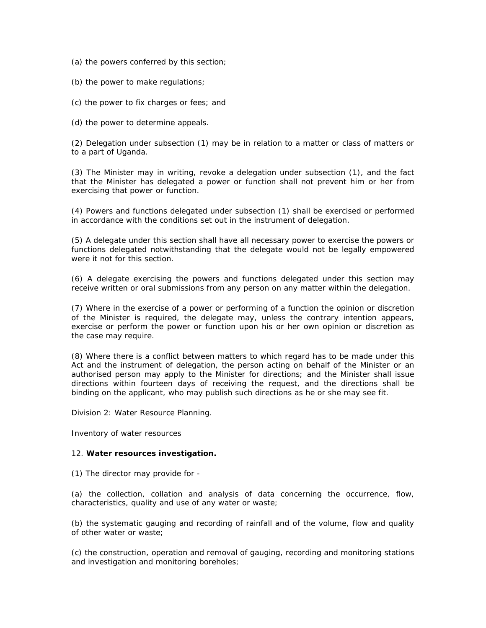(a) the powers conferred by this section;

(b) the power to make regulations;

(c) the power to fix charges or fees; and

(d) the power to determine appeals.

(2) Delegation under subsection (1) may be in relation to a matter or class of matters or to a part of Uganda.

(3) The Minister may in writing, revoke a delegation under subsection (1), and the fact that the Minister has delegated a power or function shall not prevent him or her from exercising that power or function.

(4) Powers and functions delegated under subsection (1) shall be exercised or performed in accordance with the conditions set out in the instrument of delegation.

(5) A delegate under this section shall have all necessary power to exercise the powers or functions delegated notwithstanding that the delegate would not be legally empowered were it not for this section.

(6) A delegate exercising the powers and functions delegated under this section may receive written or oral submissions from any person on any matter within the delegation.

(7) Where in the exercise of a power or performing of a function the opinion or discretion of the Minister is required, the delegate may, unless the contrary intention appears, exercise or perform the power or function upon his or her own opinion or discretion as the case may require.

(8) Where there is a conflict between matters to which regard has to be made under this Act and the instrument of delegation, the person acting on behalf of the Minister or an authorised person may apply to the Minister for directions; and the Minister shall issue directions within fourteen days of receiving the request, and the directions shall be binding on the applicant, who may publish such directions as he or she may see fit.

Division 2: Water Resource Planning.

*Inventory of water resources*

#### 12. **Water resources investigation.**

(1) The director may provide for -

(a) the collection, collation and analysis of data concerning the occurrence, flow, characteristics, quality and use of any water or waste;

(b) the systematic gauging and recording of rainfall and of the volume, flow and quality of other water or waste;

(c) the construction, operation and removal of gauging, recording and monitoring stations and investigation and monitoring boreholes;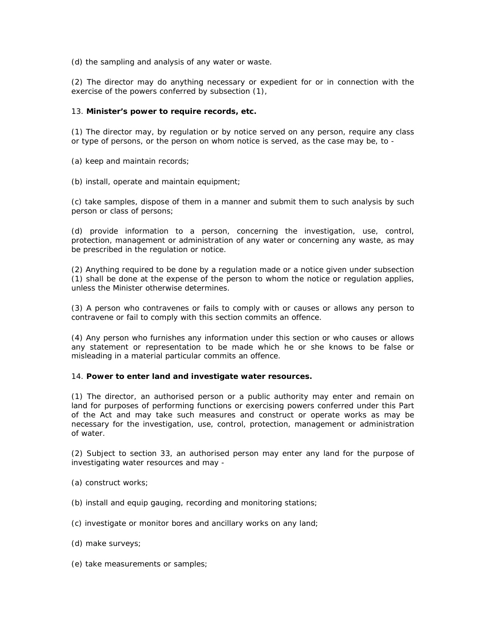(d) the sampling and analysis of any water or waste.

(2) The director may do anything necessary or expedient for or in connection with the exercise of the powers conferred by subsection (1),

## 13. **Minister's power to require records, etc.**

(1) The director may, by regulation or by notice served on any person, require any class or type of persons, or the person on whom notice is served, as the case may be, to -

(a) keep and maintain records;

(b) install, operate and maintain equipment;

(c) take samples, dispose of them in a manner and submit them to such analysis by such person or class of persons;

(d) provide information to a person, concerning the investigation, use, control, protection, management or administration of any water or concerning any waste, as may be prescribed in the regulation or notice.

(2) Anything required to be done by a regulation made or a notice given under subsection (1) shall be done at the expense of the person to whom the notice or regulation applies, unless the Minister otherwise determines.

(3) A person who contravenes or fails to comply with or causes or allows any person to contravene or fail to comply with this section commits an offence.

(4) Any person who furnishes any information under this section or who causes or allows any statement or representation to be made which he or she knows to be false or misleading in a material particular commits an offence.

#### 14. **Power to enter land and investigate water resources.**

(1) The director, an authorised person or a public authority may enter and remain on land for purposes of performing functions or exercising powers conferred under this Part of the Act and may take such measures and construct or operate works as may be necessary for the investigation, use, control, protection, management or administration of water.

(2) Subject to section 33, an authorised person may enter any land for the purpose of investigating water resources and may -

(a) construct works;

- (b) install and equip gauging, recording and monitoring stations;
- (c) investigate or monitor bores and ancillary works on any land;
- (d) make surveys;
- (e) take measurements or samples;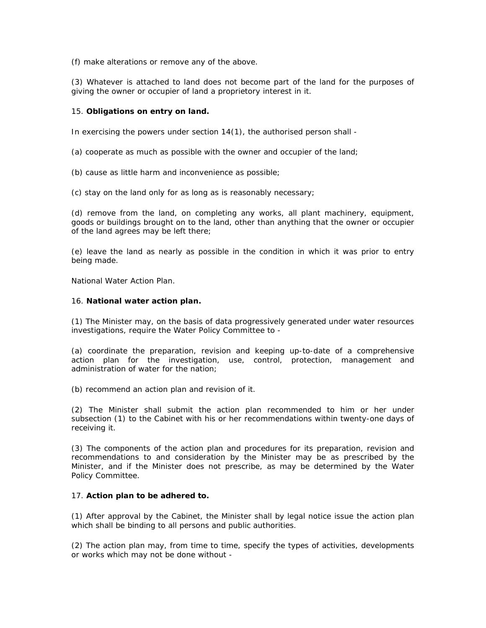(f) make alterations or remove any of the above.

(3) Whatever is attached to land does not become part of the land for the purposes of giving the owner or occupier of land a proprietory interest in it.

## 15. **Obligations on entry on land.**

In exercising the powers under section 14(1), the authorised person shall -

(a) cooperate as much as possible with the owner and occupier of the land;

(b) cause as little harm and inconvenience as possible;

(c) stay on the land only for as long as is reasonably necessary;

(d) remove from the land, on completing any works, all plant machinery, equipment, goods or buildings brought on to the land, other than anything that the owner or occupier of the land agrees may be left there;

(e) leave the land as nearly as possible in the condition in which it was prior to entry being made.

*National Water Action Plan.*

#### 16. **National water action plan.**

(1) The Minister may, on the basis of data progressively generated under water resources investigations, require the Water Policy Committee to -

(a) coordinate the preparation, revision and keeping up-to-date of a comprehensive action plan for the investigation, use, control, protection, management and administration of water for the nation;

(b) recommend an action plan and revision of it.

(2) The Minister shall submit the action plan recommended to him or her under subsection (1) to the Cabinet with his or her recommendations within twenty-one days of receiving it.

(3) The components of the action plan and procedures for its preparation, revision and recommendations to and consideration by the Minister may be as prescribed by the Minister, and if the Minister does not prescribe, as may be determined by the Water Policy Committee.

## 17. **Action plan to be adhered to.**

(1) After approval by the Cabinet, the Minister shall by legal notice issue the action plan which shall be binding to all persons and public authorities.

(2) The action plan may, from time to time, specify the types of activities, developments or works which may not be done without -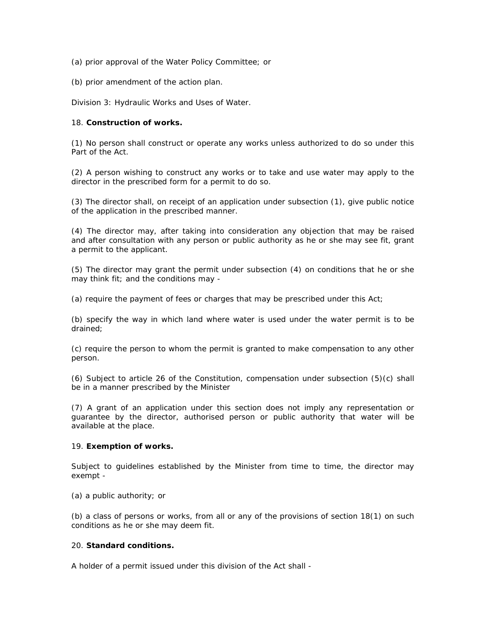(a) prior approval of the Water Policy Committee; or

(b) prior amendment of the action plan.

Division 3: Hydraulic Works and Uses of Water.

### 18. **Construction of works.**

(1) No person shall construct or operate any works unless authorized to do so under this Part of the Act.

(2) A person wishing to construct any works or to take and use water may apply to the director in the prescribed form for a permit to do so.

(3) The director shall, on receipt of an application under subsection (1), give public notice of the application in the prescribed manner.

(4) The director may, after taking into consideration any objection that may be raised and after consultation with any person or public authority as he or she may see fit, grant a permit to the applicant.

(5) The director may grant the permit under subsection (4) on conditions that he or she may think fit; and the conditions may -

(a) require the payment of fees or charges that may be prescribed under this Act;

(b) specify the way in which land where water is used under the water permit is to be drained;

(c) require the person to whom the permit is granted to make compensation to any other person.

(6) Subject to article 26 of the Constitution, compensation under subsection (5)(c) shall be in a manner prescribed by the Minister

(7) A grant of an application under this section does not imply any representation or guarantee by the director, authorised person or public authority that water will be available at the place.

## 19. **Exemption of works.**

Subject to guidelines established by the Minister from time to time, the director may exempt -

(a) a public authority; or

(b) a class of persons or works, from all or any of the provisions of section 18(1) on such conditions as he or she may deem fit.

## 20. **Standard conditions.**

A holder of a permit issued under this division of the Act shall -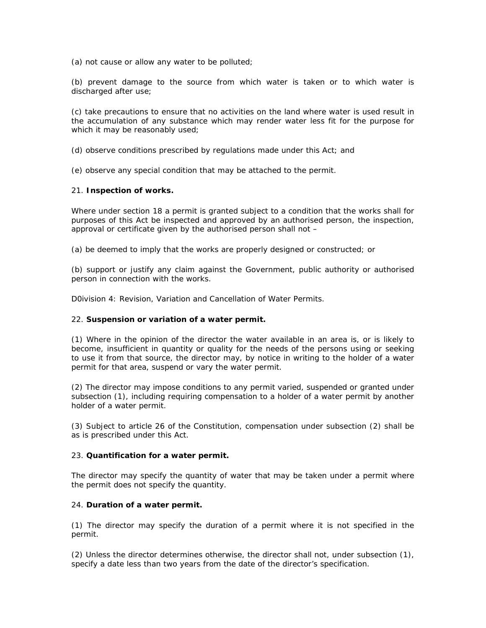(a) not cause or allow any water to be polluted;

(b) prevent damage to the source from which water is taken or to which water is discharged after use;

(c) take precautions to ensure that no activities on the land where water is used result in the accumulation of any substance which may render water less fit for the purpose for which it may be reasonably used;

(d) observe conditions prescribed by regulations made under this Act; and

(e) observe any special condition that may be attached to the permit.

#### 21. **Inspection of works.**

Where under section 18 a permit is granted subject to a condition that the works shall for purposes of this Act be inspected and approved by an authorised person, the inspection, approval or certificate given by the authorised person shall not –

(a) be deemed to imply that the works are properly designed or constructed; or

(b) support or justify any claim against the Government, public authority or authorised person in connection with the works.

D0ivision 4: Revision, Variation and Cancellation of Water Permits.

## 22. **Suspension or variation of a water permit.**

(1) Where in the opinion of the director the water available in an area is, or is likely to become, insufficient in quantity or quality for the needs of the persons using or seeking to use it from that source, the director may, by notice in writing to the holder of a water permit for that area, suspend or vary the water permit.

(2) The director may impose conditions to any permit varied, suspended or granted under subsection (1), including requiring compensation to a holder of a water permit by another holder of a water permit.

(3) Subject to article 26 of the Constitution, compensation under subsection (2) shall be as is prescribed under this Act.

## 23. **Quantification for a water permit.**

The director may specify the quantity of water that may be taken under a permit where the permit does not specify the quantity.

## 24. **Duration of a water permit.**

(1) The director may specify the duration of a permit where it is not specified in the permit.

(2) Unless the director determines otherwise, the director shall not, under subsection (1), specify a date less than two years from the date of the director's specification.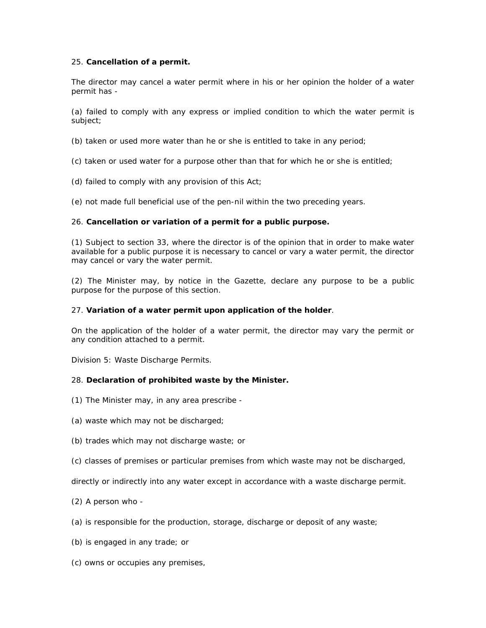## 25. **Cancellation of a permit.**

The director may cancel a water permit where in his or her opinion the holder of a water permit has -

(a) failed to comply with any express or implied condition to which the water permit is subject;

- (b) taken or used more water than he or she is entitled to take in any period;
- (c) taken or used water for a purpose other than that for which he or she is entitled;
- (d) failed to comply with any provision of this Act;
- (e) not made full beneficial use of the pen-nil within the two preceding years.

#### 26. **Cancellation or variation of a permit for a public purpose.**

(1) Subject to section 33, where the director is of the opinion that in order to make water available for a public purpose it is necessary to cancel or vary a water permit, the director may cancel or vary the water permit.

(2) The Minister may, by notice in the Gazette, declare any purpose to be a public purpose for the purpose of this section.

#### 27. **Variation of a water permit upon application of the holder**.

On the application of the holder of a water permit, the director may vary the permit or any condition attached to a permit.

Division 5: Waste Discharge Permits.

## 28. **Declaration of prohibited waste by the Minister.**

- (1) The Minister may, in any area prescribe -
- (a) waste which may not be discharged;
- (b) trades which may not discharge waste; or
- (c) classes of premises or particular premises from which waste may not be discharged,

directly or indirectly into any water except in accordance with a waste discharge permit.

- (2) A person who -
- (a) is responsible for the production, storage, discharge or deposit of any waste;
- (b) is engaged in any trade; or
- (c) owns or occupies any premises,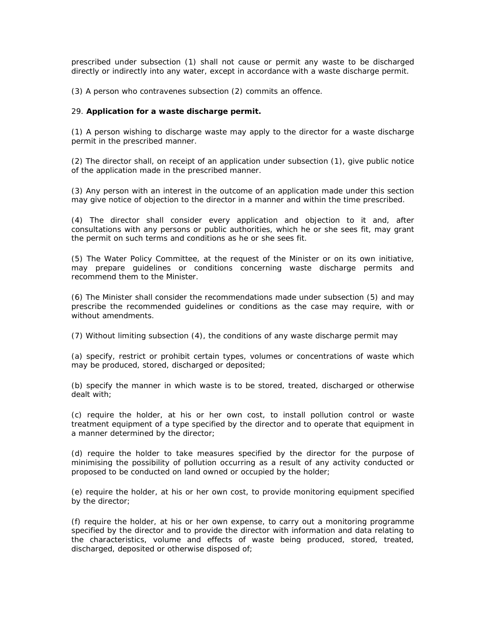prescribed under subsection (1) shall not cause or permit any waste to be discharged directly or indirectly into any water, except in accordance with a waste discharge permit.

(3) A person who contravenes subsection (2) commits an offence.

## 29. **Application for a waste discharge permit.**

(1) A person wishing to discharge waste may apply to the director for a waste discharge permit in the prescribed manner.

(2) The director shall, on receipt of an application under subsection (1), give public notice of the application made in the prescribed manner.

(3) Any person with an interest in the outcome of an application made under this section may give notice of objection to the director in a manner and within the time prescribed.

(4) The director shall consider every application and objection to it and, after consultations with any persons or public authorities, which he or she sees fit, may grant the permit on such terms and conditions as he or she sees fit.

(5) The Water Policy Committee, at the request of the Minister or on its own initiative, may prepare guidelines or conditions concerning waste discharge permits and recommend them to the Minister.

(6) The Minister shall consider the recommendations made under subsection (5) and may prescribe the recommended guidelines or conditions as the case may require, with or without amendments.

(7) Without limiting subsection (4), the conditions of any waste discharge permit may

(a) specify, restrict or prohibit certain types, volumes or concentrations of waste which may be produced, stored, discharged or deposited;

(b) specify the manner in which waste is to be stored, treated, discharged or otherwise dealt with;

(c) require the holder, at his or her own cost, to install pollution control or waste treatment equipment of a type specified by the director and to operate that equipment in a manner determined by the director;

(d) require the holder to take measures specified by the director for the purpose of minimising the possibility of pollution occurring as a result of any activity conducted or proposed to be conducted on land owned or occupied by the holder;

(e) require the holder, at his or her own cost, to provide monitoring equipment specified by the director;

(f) require the holder, at his or her own expense, to carry out a monitoring programme specified by the director and to provide the director with information and data relating to the characteristics, volume and effects of waste being produced, stored, treated, discharged, deposited or otherwise disposed of;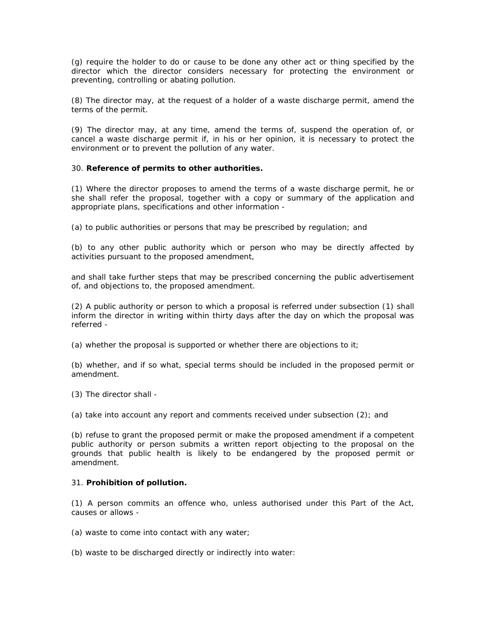(g) require the holder to do or cause to be done any other act or thing specified by the director which the director considers necessary for protecting the environment or preventing, controlling or abating pollution.

(8) The director may, at the request of a holder of a waste discharge permit, amend the terms of the permit.

(9) The director may, at any time, amend the terms of, suspend the operation of, or cancel a waste discharge permit if, in his or her opinion, it is necessary to protect the environment or to prevent the pollution of any water.

## 30. **Reference of permits to other authorities.**

(1) Where the director proposes to amend the terms of a waste discharge permit, he or she shall refer the proposal, together with a copy or summary of the application and appropriate plans, specifications and other information -

(a) to public authorities or persons that may be prescribed by regulation; and

(b) to any other public authority which or person who may be directly affected by activities pursuant to the proposed amendment,

and shall take further steps that may be prescribed concerning the public advertisement of, and objections to, the proposed amendment.

(2) A public authority or person to which a proposal is referred under subsection (1) shall inform the director in writing within thirty days after the day on which the proposal was referred -

(a) whether the proposal is supported or whether there are objections to it;

(b) whether, and if so what, special terms should be included in the proposed permit or amendment.

(3) The director shall -

(a) take into account any report and comments received under subsection (2); and

(b) refuse to grant the proposed permit or make the proposed amendment if a competent public authority or person submits a written report objecting to the proposal on the grounds that public health is likely to be endangered by the proposed permit or amendment.

#### 31. **Prohibition of pollution.**

(1) A person commits an offence who, unless authorised under this Part of the Act, causes or allows -

(a) waste to come into contact with any water;

(b) waste to be discharged directly or indirectly into water: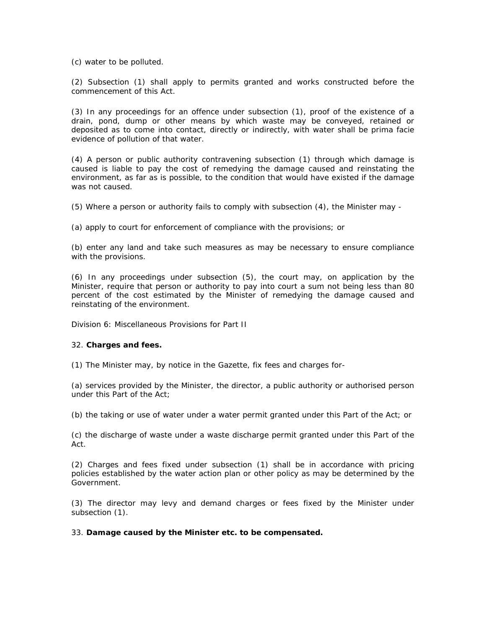(c) water to be polluted.

(2) Subsection (1) shall apply to permits granted and works constructed before the commencement of this Act.

(3) In any proceedings for an offence under subsection (1), proof of the existence of a drain, pond, dump or other means by which waste may be conveyed, retained or deposited as to come into contact, directly or indirectly, with water shall be prima facie evidence of pollution of that water.

(4) A person or public authority contravening subsection (1) through which damage is caused is liable to pay the cost of remedying the damage caused and reinstating the environment, as far as is possible, to the condition that would have existed if the damage was not caused.

(5) Where a person or authority fails to comply with subsection (4), the Minister may -

(a) apply to court for enforcement of compliance with the provisions; or

(b) enter any land and take such measures as may be necessary to ensure compliance with the provisions.

(6) In any proceedings under subsection (5), the court may, on application by the Minister, require that person or authority to pay into court a sum not being less than 80 percent of the cost estimated by the Minister of remedying the damage caused and reinstating of the environment.

Division 6: Miscellaneous Provisions for Part II

## 32. **Charges and fees.**

(1) The Minister may, by notice in the Gazette, fix fees and charges for-

(a) services provided by the Minister, the director, a public authority or authorised person under this Part of the Act;

(b) the taking or use of water under a water permit granted under this Part of the Act; or

(c) the discharge of waste under a waste discharge permit granted under this Part of the Act.

(2) Charges and fees fixed under subsection (1) shall be in accordance with pricing policies established by the water action plan or other policy as may be determined by the Government.

(3) The director may levy and demand charges or fees fixed by the Minister under subsection (1).

## 33. **Damage caused by the Minister etc. to be compensated.**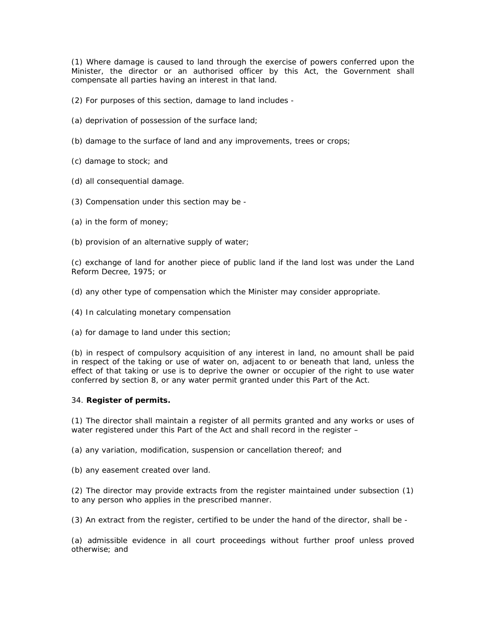(1) Where damage is caused to land through the exercise of powers conferred upon the Minister, the director or an authorised officer by this Act, the Government shall compensate all parties having an interest in that land.

- (2) For purposes of this section, damage to land includes -
- (a) deprivation of possession of the surface land;
- (b) damage to the surface of land and any improvements, trees or crops;
- (c) damage to stock; and
- (d) all consequential damage.
- (3) Compensation under this section may be -
- (a) in the form of money;
- (b) provision of an alternative supply of water;

(c) exchange of land for another piece of public land if the land lost was under the Land Reform Decree, 1975; or

(d) any other type of compensation which the Minister may consider appropriate.

- (4) In calculating monetary compensation
- (a) for damage to land under this section;

(b) in respect of compulsory acquisition of any interest in land, no amount shall be paid in respect of the taking or use of water on, adjacent to or beneath that land, unless the effect of that taking or use is to deprive the owner or occupier of the right to use water conferred by section 8, or any water permit granted under this Part of the Act.

## 34. **Register of permits.**

(1) The director shall maintain a register of all permits granted and any works or uses of water registered under this Part of the Act and shall record in the register -

(a) any variation, modification, suspension or cancellation thereof; and

(b) any easement created over land.

(2) The director may provide extracts from the register maintained under subsection (1) to any person who applies in the prescribed manner.

(3) An extract from the register, certified to be under the hand of the director, shall be -

(a) admissible evidence in all court proceedings without further proof unless proved otherwise; and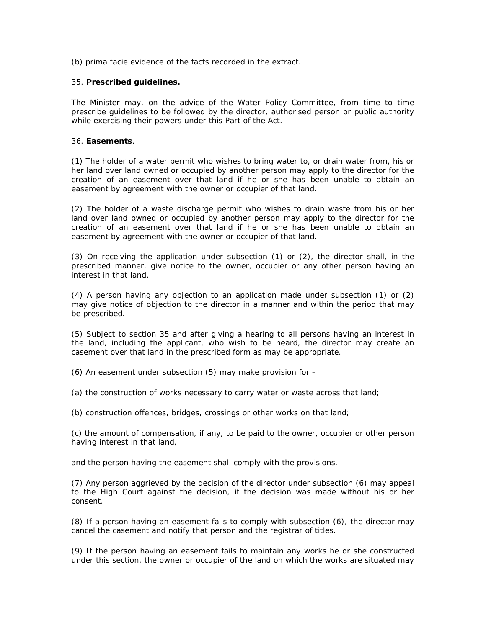(b) prima facie evidence of the facts recorded in the extract.

#### 35. **Prescribed guidelines.**

The Minister may, on the advice of the Water Policy Committee, from time to time prescribe guidelines to be followed by the director, authorised person or public authority while exercising their powers under this Part of the Act.

#### 36. **Easements**.

(1) The holder of a water permit who wishes to bring water to, or drain water from, his or her land over land owned or occupied by another person may apply to the director for the creation of an easement over that land if he or she has been unable to obtain an easement by agreement with the owner or occupier of that land.

(2) The holder of a waste discharge permit who wishes to drain waste from his or her land over land owned or occupied by another person may apply to the director for the creation of an easement over that land if he or she has been unable to obtain an easement by agreement with the owner or occupier of that land.

(3) On receiving the application under subsection (1) or (2), the director shall, in the prescribed manner, give notice to the owner, occupier or any other person having an interest in that land.

(4) A person having any objection to an application made under subsection (1) or (2) may give notice of objection to the director in a manner and within the period that may be prescribed.

(5) Subject to section 35 and after giving a hearing to all persons having an interest in the land, including the applicant, who wish to be heard, the director may create an casement over that land in the prescribed form as may be appropriate.

(6) An easement under subsection (5) may make provision for –

(a) the construction of works necessary to carry water or waste across that land;

(b) construction offences, bridges, crossings or other works on that land;

(c) the amount of compensation, if any, to be paid to the owner, occupier or other person having interest in that land,

and the person having the easement shall comply with the provisions.

(7) Any person aggrieved by the decision of the director under subsection (6) may appeal to the High Court against the decision, if the decision was made without his or her consent.

(8) If a person having an easement fails to comply with subsection (6), the director may cancel the casement and notify that person and the registrar of titles.

(9) If the person having an easement fails to maintain any works he or she constructed under this section, the owner or occupier of the land on which the works are situated may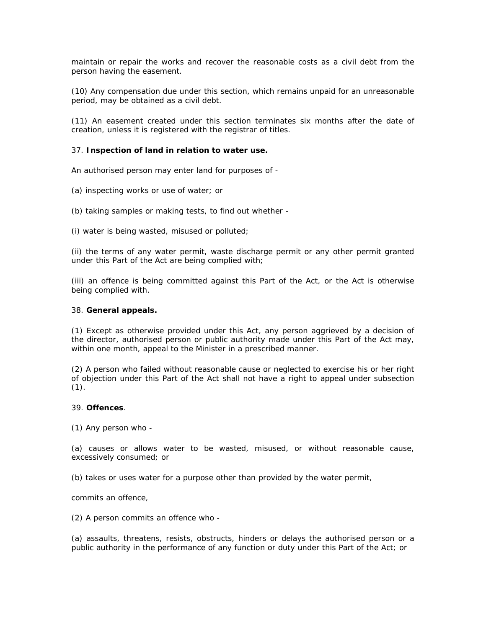maintain or repair the works and recover the reasonable costs as a civil debt from the person having the easement.

(10) Any compensation due under this section, which remains unpaid for an unreasonable period, may be obtained as a civil debt.

(11) An easement created under this section terminates six months after the date of creation, unless it is registered with the registrar of titles.

#### 37. **Inspection of land in relation to water use.**

An authorised person may enter land for purposes of -

- (a) inspecting works or use of water; or
- (b) taking samples or making tests, to find out whether -

(i) water is being wasted, misused or polluted;

(ii) the terms of any water permit, waste discharge permit or any other permit granted under this Part of the Act are being complied with;

(iii) an offence is being committed against this Part of the Act, or the Act is otherwise being complied with.

#### 38. **General appeals.**

(1) Except as otherwise provided under this Act, any person aggrieved by a decision of the director, authorised person or public authority made under this Part of the Act may, within one month, appeal to the Minister in a prescribed manner.

(2) A person who failed without reasonable cause or neglected to exercise his or her right of objection under this Part of the Act shall not have a right to appeal under subsection  $(1).$ 

#### 39. **Offences**.

(1) Any person who -

(a) causes or allows water to be wasted, misused, or without reasonable cause, excessively consumed; or

(b) takes or uses water for a purpose other than provided by the water permit,

commits an offence,

(2) A person commits an offence who -

(a) assaults, threatens, resists, obstructs, hinders or delays the authorised person or a public authority in the performance of any function or duty under this Part of the Act; or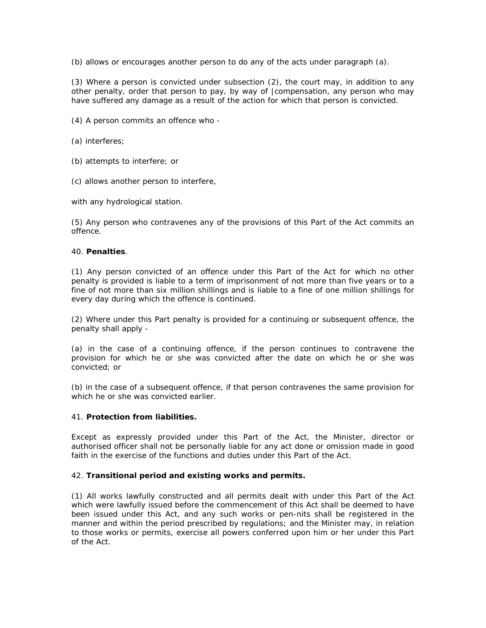(b) allows or encourages another person to do any of the acts under paragraph (a).

(3) Where a person is convicted under subsection (2), the court may, in addition to any other penalty, order that person to pay, by way of |compensation, any person who may have suffered any damage as a result of the action for which that person is convicted.

(4) A person commits an offence who -

(a) interferes;

- (b) attempts to interfere; or
- (c) allows another person to interfere,

with any hydrological station.

(5) Any person who contravenes any of the provisions of this Part of the Act commits an offence.

#### 40. **Penalties**.

(1) Any person convicted of an offence under this Part of the Act for which no other penalty is provided is liable to a term of imprisonment of not more than five years or to a fine of not more than six million shillings and is liable to a fine of one million shillings for every day during which the offence is continued.

(2) Where under this Part penalty is provided for a continuing or subsequent offence, the penalty shall apply -

(a) in the case of a continuing offence, if the person continues to contravene the provision for which he or she was convicted after the date on which he or she was convicted; or

(b) in the case of a subsequent offence, if that person contravenes the same provision for which he or she was convicted earlier.

## 41. **Protection from liabilities.**

Except as expressly provided under this Part of the Act, the Minister, director or authorised officer shall not be personally liable for any act done or omission made in good faith in the exercise of the functions and duties under this Part of the Act.

## 42. **Transitional period and existing works and permits.**

(1) All works lawfully constructed and all permits dealt with under this Part of the Act which were lawfully issued before the commencement of this Act shall be deemed to have been issued under this Act, and any such works or pen-nits shall be registered in the manner and within the period prescribed by regulations; and the Minister may, in relation to those works or permits, exercise all powers conferred upon him or her under this Part of the Act.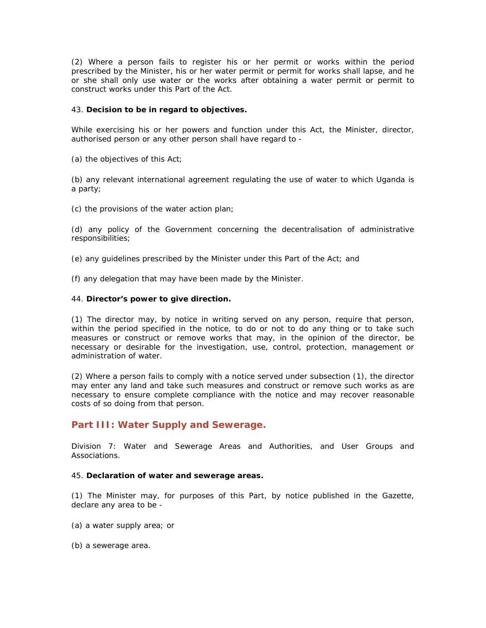(2) Where a person fails to register his or her permit or works within the period prescribed by the Minister, his or her water permit or permit for works shall lapse, and he or she shall only use water or the works after obtaining a water permit or permit to construct works under this Part of the Act.

#### 43. **Decision to be in regard to objectives.**

While exercising his or her powers and function under this Act, the Minister, director, authorised person or any other person shall have regard to -

(a) the objectives of this Act;

(b) any relevant international agreement regulating the use of water to which Uganda is a party;

(c) the provisions of the water action plan;

(d) any policy of the Government concerning the decentralisation of administrative responsibilities;

(e) any guidelines prescribed by the Minister under this Part of the Act; and

(f) any delegation that may have been made by the Minister.

#### 44. **Director's power to give direction.**

(1) The director may, by notice in writing served on any person, require that person, within the period specified in the notice, to do or not to do any thing or to take such measures or construct or remove works that may, in the opinion of the director, be necessary or desirable for the investigation, use, control, protection, management or administration of water.

(2) Where a person fails to comply with a notice served under subsection (1), the director may enter any land and take such measures and construct or remove such works as are necessary to ensure complete compliance with the notice and may recover reasonable costs of so doing from that person.

## **Part III: Water Supply and Sewerage.**

Division 7: Water and Sewerage Areas and Authorities, and User Groups and Associations.

#### 45. **Declaration of water and sewerage areas.**

(1) The Minister may, for purposes of this Part, by notice published in the Gazette, declare any area to be -

- (a) a water supply area; or
- (b) a sewerage area.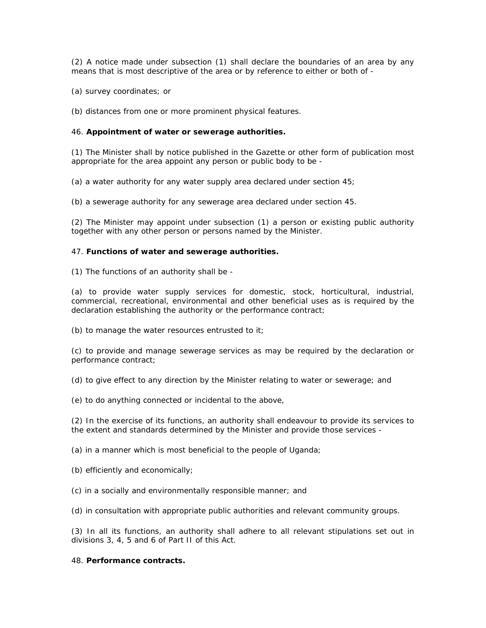(2) A notice made under subsection (1) shall declare the boundaries of an area by any means that is most descriptive of the area or by reference to either or both of -

(a) survey coordinates; or

(b) distances from one or more prominent physical features.

#### 46. **Appointment of water or sewerage authorities.**

(1) The Minister shall by notice published in the Gazette or other form of publication most appropriate for the area appoint any person or public body to be -

(a) a water authority for any water supply area declared under section 45;

(b) a sewerage authority for any sewerage area declared under section 45.

(2) The Minister may appoint under subsection (1) a person or existing public authority together with any other person or persons named by the Minister.

#### 47. **Functions of water and sewerage authorities.**

(1) The functions of an authority shall be -

(a) to provide water supply services for domestic, stock, horticultural, industrial, commercial, recreational, environmental and other beneficial uses as is required by the declaration establishing the authority or the performance contract;

(b) to manage the water resources entrusted to it;

(c) to provide and manage sewerage services as may be required by the declaration or performance contract;

(d) to give effect to any direction by the Minister relating to water or sewerage; and

(e) to do anything connected or incidental to the above,

(2) In the exercise of its functions, an authority shall endeavour to provide its services to the extent and standards determined by the Minister and provide those services -

(a) in a manner which is most beneficial to the people of Uganda;

- (b) efficiently and economically;
- (c) in a socially and environmentally responsible manner; and

(d) in consultation with appropriate public authorities and relevant community groups.

(3) In all its functions, an authority shall adhere to all relevant stipulations set out in divisions 3, 4, 5 and 6 of Part II of this Act.

## 48. **Performance contracts.**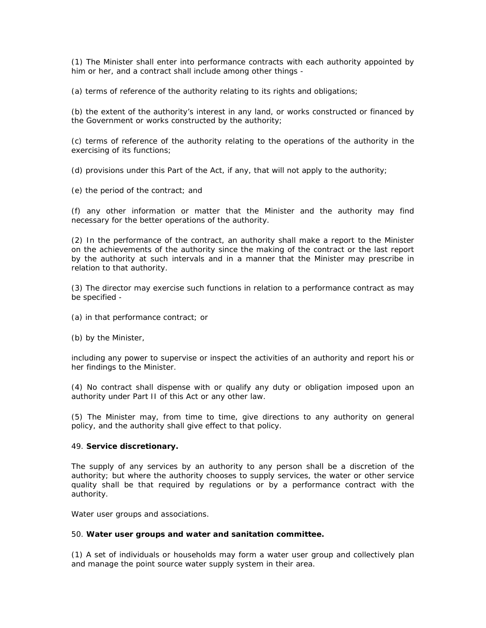(1) The Minister shall enter into performance contracts with each authority appointed by him or her, and a contract shall include among other things -

(a) terms of reference of the authority relating to its rights and obligations;

(b) the extent of the authority's interest in any land, or works constructed or financed by the Government or works constructed by the authority;

(c) terms of reference of the authority relating to the operations of the authority in the exercising of its functions;

(d) provisions under this Part of the Act, if any, that will not apply to the authority;

(e) the period of the contract; and

(f) any other information or matter that the Minister and the authority may find necessary for the better operations of the authority.

(2) In the performance of the contract, an authority shall make a report to the Minister on the achievements of the authority since the making of the contract or the last report by the authority at such intervals and in a manner that the Minister may prescribe in relation to that authority.

(3) The director may exercise such functions in relation to a performance contract as may be specified -

(a) in that performance contract; or

(b) by the Minister,

including any power to supervise or inspect the activities of an authority and report his or her findings to the Minister.

(4) No contract shall dispense with or qualify any duty or obligation imposed upon an authority under Part II of this Act or any other law.

(5) The Minister may, from time to time, give directions to any authority on general policy, and the authority shall give effect to that policy.

#### 49. **Service discretionary.**

The supply of any services by an authority to any person shall be a discretion of the authority; but where the authority chooses to supply services, the water or other service quality shall be that required by regulations or by a performance contract with the authority.

*Water user groups and associations.*

#### 50. **Water user groups and water and sanitation committee.**

(1) A set of individuals or households may form a water user group and collectively plan and manage the point source water supply system in their area.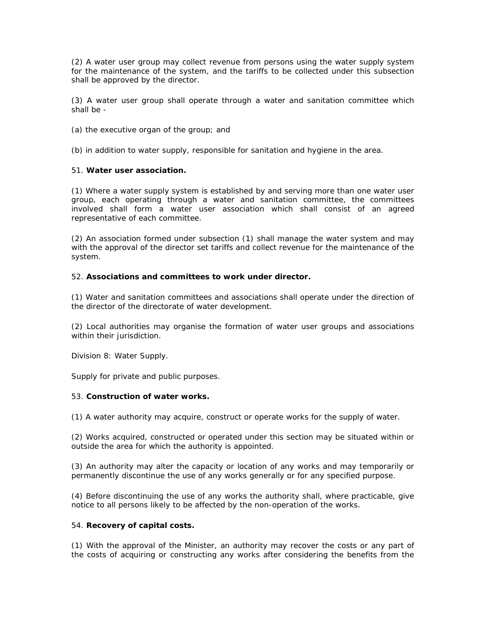(2) A water user group may collect revenue from persons using the water supply system for the maintenance of the system, and the tariffs to be collected under this subsection shall be approved by the director.

(3) A water user group shall operate through a water and sanitation committee which shall be -

(a) the executive organ of the group; and

(b) in addition to water supply, responsible for sanitation and hygiene in the area.

## 51. **Water user association.**

(1) Where a water supply system is established by and serving more than one water user group, each operating through a water and sanitation committee, the committees involved shall form a water user association which shall consist of an agreed representative of each committee.

(2) An association formed under subsection (1) shall manage the water system and may with the approval of the director set tariffs and collect revenue for the maintenance of the system.

#### 52. **Associations and committees to work under director.**

(1) Water and sanitation committees and associations shall operate under the direction of the director of the directorate of water development.

(2) Local authorities may organise the formation of water user groups and associations within their jurisdiction.

Division 8: Water Supply.

*Supply for private and public purposes*.

#### 53. **Construction of water works.**

(1) A water authority may acquire, construct or operate works for the supply of water.

(2) Works acquired, constructed or operated under this section may be situated within or outside the area for which the authority is appointed.

(3) An authority may alter the capacity or location of any works and may temporarily or permanently discontinue the use of any works generally or for any specified purpose.

(4) Before discontinuing the use of any works the authority shall, where practicable, give notice to all persons likely to be affected by the non-operation of the works.

#### 54. **Recovery of capital costs.**

(1) With the approval of the Minister, an authority may recover the costs or any part of the costs of acquiring or constructing any works after considering the benefits from the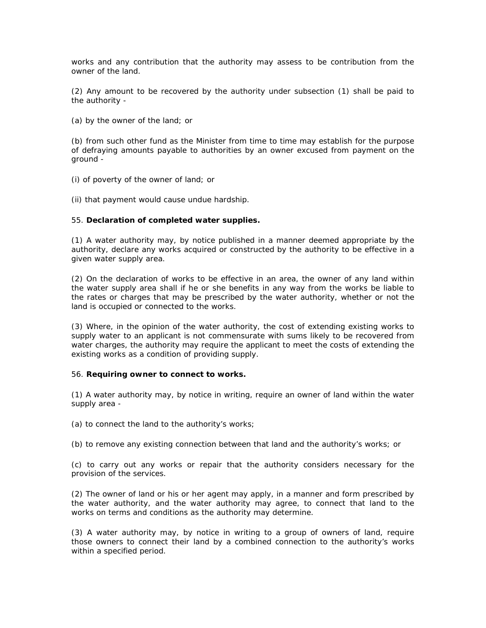works and any contribution that the authority may assess to be contribution from the owner of the land.

(2) Any amount to be recovered by the authority under subsection (1) shall be paid to the authority -

(a) by the owner of the land; or

(b) from such other fund as the Minister from time to time may establish for the purpose of defraying amounts payable to authorities by an owner excused from payment on the ground -

(i) of poverty of the owner of land; or

(ii) that payment would cause undue hardship.

#### 55. **Declaration of completed water supplies.**

(1) A water authority may, by notice published in a manner deemed appropriate by the authority, declare any works acquired or constructed by the authority to be effective in a given water supply area.

(2) On the declaration of works to be effective in an area, the owner of any land within the water supply area shall if he or she benefits in any way from the works be liable to the rates or charges that may be prescribed by the water authority, whether or not the land is occupied or connected to the works.

(3) Where, in the opinion of the water authority, the cost of extending existing works to supply water to an applicant is not commensurate with sums likely to be recovered from water charges, the authority may require the applicant to meet the costs of extending the existing works as a condition of providing supply.

#### 56. **Requiring owner to connect to works.**

(1) A water authority may, by notice in writing, require an owner of land within the water supply area -

(a) to connect the land to the authority's works;

(b) to remove any existing connection between that land and the authority's works; or

(c) to carry out any works or repair that the authority considers necessary for the provision of the services.

(2) The owner of land or his or her agent may apply, in a manner and form prescribed by the water authority, and the water authority may agree, to connect that land to the works on terms and conditions as the authority may determine.

(3) A water authority may, by notice in writing to a group of owners of land, require those owners to connect their land by a combined connection to the authority's works within a specified period.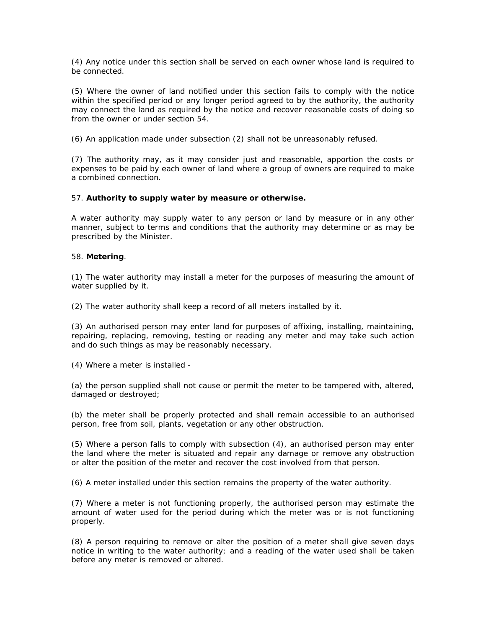(4) Any notice under this section shall be served on each owner whose land is required to be connected.

(5) Where the owner of land notified under this section fails to comply with the notice within the specified period or any longer period agreed to by the authority, the authority may connect the land as required by the notice and recover reasonable costs of doing so from the owner or under section 54.

(6) An application made under subsection (2) shall not be unreasonably refused.

(7) The authority may, as it may consider just and reasonable, apportion the costs or expenses to be paid by each owner of land where a group of owners are required to make a combined connection.

#### 57. **Authority to supply water by measure or otherwise.**

A water authority may supply water to any person or land by measure or in any other manner, subject to terms and conditions that the authority may determine or as may be prescribed by the Minister.

### 58. **Metering**.

(1) The water authority may install a meter for the purposes of measuring the amount of water supplied by it.

(2) The water authority shall keep a record of all meters installed by it.

(3) An authorised person may enter land for purposes of affixing, installing, maintaining, repairing, replacing, removing, testing or reading any meter and may take such action and do such things as may be reasonably necessary.

(4) Where a meter is installed -

(a) the person supplied shall not cause or permit the meter to be tampered with, altered, damaged or destroyed;

(b) the meter shall be properly protected and shall remain accessible to an authorised person, free from soil, plants, vegetation or any other obstruction.

(5) Where a person falls to comply with subsection (4), an authorised person may enter the land where the meter is situated and repair any damage or remove any obstruction or alter the position of the meter and recover the cost involved from that person.

(6) A meter installed under this section remains the property of the water authority.

(7) Where a meter is not functioning properly, the authorised person may estimate the amount of water used for the period during which the meter was or is not functioning properly.

(8) A person requiring to remove or alter the position of a meter shall give seven days notice in writing to the water authority; and a reading of the water used shall be taken before any meter is removed or altered.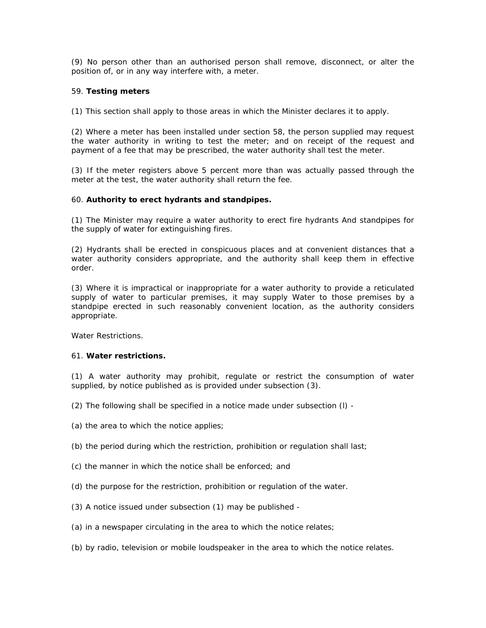(9) No person other than an authorised person shall remove, disconnect, or alter the position of, or in any way interfere with, a meter.

## 59. **Testing meters**

(1) This section shall apply to those areas in which the Minister declares it to apply.

(2) Where a meter has been installed under section 58, the person supplied may request the water authority in writing to test the meter; and on receipt of the request and payment of a fee that may be prescribed, the water authority shall test the meter.

(3) If the meter registers above 5 percent more than was actually passed through the meter at the test, the water authority shall return the fee.

#### 60. **Authority to erect hydrants and standpipes.**

(1) The Minister may require a water authority to erect fire hydrants And standpipes for the supply of water for extinguishing fires.

(2) Hydrants shall be erected in conspicuous places and at convenient distances that a water authority considers appropriate, and the authority shall keep them in effective order.

(3) Where it is impractical or inappropriate for a water authority to provide a reticulated supply of water to particular premises, it may supply Water to those premises by a standpipe erected in such reasonably convenient location, as the authority considers appropriate.

*Water Restrictions.*

#### 61. **Water restrictions.**

(1) A water authority may prohibit, regulate or restrict the consumption of water supplied, by notice published as is provided under subsection (3).

- (2) The following shall be specified in a notice made under subsection (l) -
- (a) the area to which the notice applies;
- (b) the period during which the restriction, prohibition or regulation shall last;
- (c) the manner in which the notice shall be enforced; and
- (d) the purpose for the restriction, prohibition or regulation of the water.
- (3) A notice issued under subsection (1) may be published -
- (a) in a newspaper circulating in the area to which the notice relates;
- (b) by radio, television or mobile loudspeaker in the area to which the notice relates.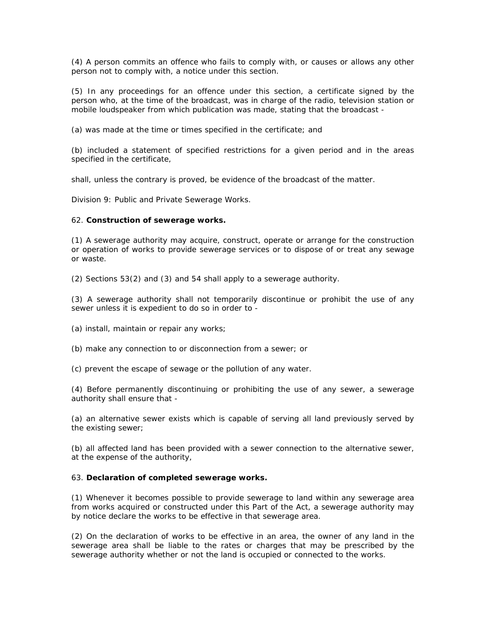(4) A person commits an offence who fails to comply with, or causes or allows any other person not to comply with, a notice under this section.

(5) In any proceedings for an offence under this section, a certificate signed by the person who, at the time of the broadcast, was in charge of the radio, television station or mobile loudspeaker from which publication was made, stating that the broadcast -

(a) was made at the time or times specified in the certificate; and

(b) included a statement of specified restrictions for a given period and in the areas specified in the certificate,

shall, unless the contrary is proved, be evidence of the broadcast of the matter.

Division 9: Public and Private Sewerage Works.

#### 62. **Construction of sewerage works.**

(1) A sewerage authority may acquire, construct, operate or arrange for the construction or operation of works to provide sewerage services or to dispose of or treat any sewage or waste.

(2) Sections 53(2) and (3) and 54 shall apply to a sewerage authority.

(3) A sewerage authority shall not temporarily discontinue or prohibit the use of any sewer unless it is expedient to do so in order to -

(a) install, maintain or repair any works;

(b) make any connection to or disconnection from a sewer; or

(c) prevent the escape of sewage or the pollution of any water.

(4) Before permanently discontinuing or prohibiting the use of any sewer, a sewerage authority shall ensure that -

(a) an alternative sewer exists which is capable of serving all land previously served by the existing sewer;

(b) all affected land has been provided with a sewer connection to the alternative sewer, at the expense of the authority,

## 63. **Declaration of completed sewerage works.**

(1) Whenever it becomes possible to provide sewerage to land within any sewerage area from works acquired or constructed under this Part of the Act, a sewerage authority may by notice declare the works to be effective in that sewerage area.

(2) On the declaration of works to be effective in an area, the owner of any land in the sewerage area shall be liable to the rates or charges that may be prescribed by the sewerage authority whether or not the land is occupied or connected to the works.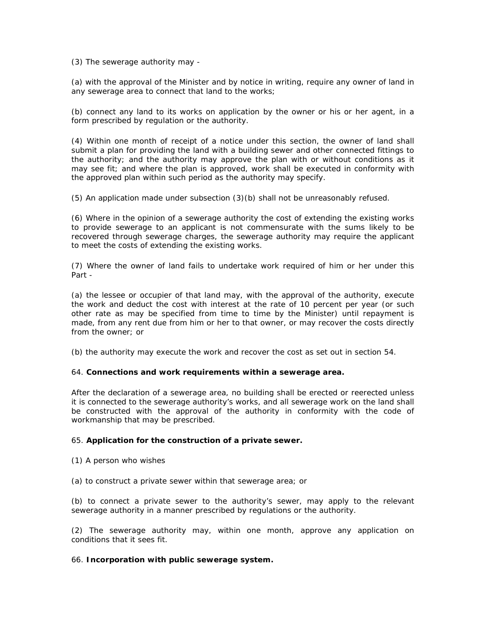(3) The sewerage authority may -

(a) with the approval of the Minister and by notice in writing, require any owner of land in any sewerage area to connect that land to the works;

(b) connect any land to its works on application by the owner or his or her agent, in a form prescribed by regulation or the authority.

(4) Within one month of receipt of a notice under this section, the owner of land shall submit a plan for providing the land with a building sewer and other connected fittings to the authority; and the authority may approve the plan with or without conditions as it may see fit; and where the plan is approved, work shall be executed in conformity with the approved plan within such period as the authority may specify.

(5) An application made under subsection (3)(b) shall not be unreasonably refused.

(6) Where in the opinion of a sewerage authority the cost of extending the existing works to provide sewerage to an applicant is not commensurate with the sums likely to be recovered through sewerage charges, the sewerage authority may require the applicant to meet the costs of extending the existing works.

(7) Where the owner of land fails to undertake work required of him or her under this Part -

(a) the lessee or occupier of that land may, with the approval of the authority, execute the work and deduct the cost with interest at the rate of 10 percent per year (or such other rate as may be specified from time to time by the Minister) until repayment is made, from any rent due from him or her to that owner, or may recover the costs directly from the owner; or

(b) the authority may execute the work and recover the cost as set out in section 54.

## 64. **Connections and work requirements within a sewerage area.**

After the declaration of a sewerage area, no building shall be erected or reerected unless it is connected to the sewerage authority's works, and all sewerage work on the land shall be constructed with the approval of the authority in conformity with the code of workmanship that may be prescribed.

## 65. **Application for the construction of a private sewer.**

- (1) A person who wishes
- (a) to construct a private sewer within that sewerage area; or

(b) to connect a private sewer to the authority's sewer, may apply to the relevant sewerage authority in a manner prescribed by regulations or the authority.

(2) The sewerage authority may, within one month, approve any application on conditions that it sees fit.

## 66. **Incorporation with public sewerage system.**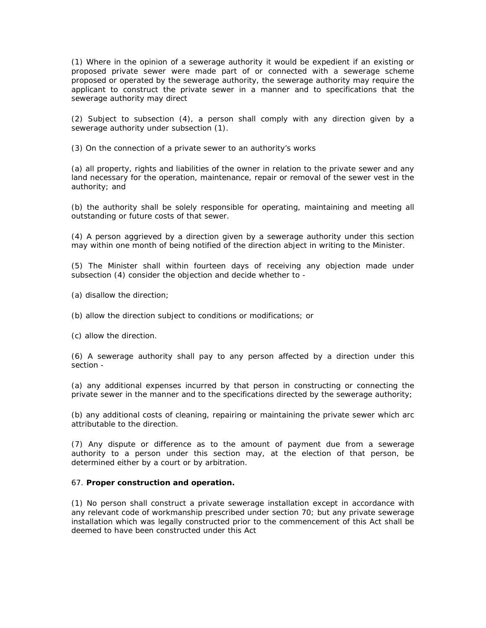(1) Where in the opinion of a sewerage authority it would be expedient if an existing or proposed private sewer were made part of or connected with a sewerage scheme proposed or operated by the sewerage authority, the sewerage authority may require the applicant to construct the private sewer in a manner and to specifications that the sewerage authority may direct

(2) Subject to subsection (4), a person shall comply with any direction given by a sewerage authority under subsection (1).

(3) On the connection of a private sewer to an authority's works

(a) all property, rights and liabilities of the owner in relation to the private sewer and any land necessary for the operation, maintenance, repair or removal of the sewer vest in the authority; and

(b) the authority shall be solely responsible for operating, maintaining and meeting all outstanding or future costs of that sewer.

(4) A person aggrieved by a direction given by a sewerage authority under this section may within one month of being notified of the direction abject in writing to the Minister.

(5) The Minister shall within fourteen days of receiving any objection made under subsection (4) consider the objection and decide whether to -

- (a) disallow the direction;
- (b) allow the direction subject to conditions or modifications; or

(c) allow the direction.

(6) A sewerage authority shall pay to any person affected by a direction under this section -

(a) any additional expenses incurred by that person in constructing or connecting the private sewer in the manner and to the specifications directed by the sewerage authority;

(b) any additional costs of cleaning, repairing or maintaining the private sewer which arc attributable to the direction.

(7) Any dispute or difference as to the amount of payment due from a sewerage authority to a person under this section may, at the election of that person, be determined either by a court or by arbitration.

## 67. **Proper construction and operation.**

(1) No person shall construct a private sewerage installation except in accordance with any relevant code of workmanship prescribed under section 70; but any private sewerage installation which was legally constructed prior to the commencement of this Act shall be deemed to have been constructed under this Act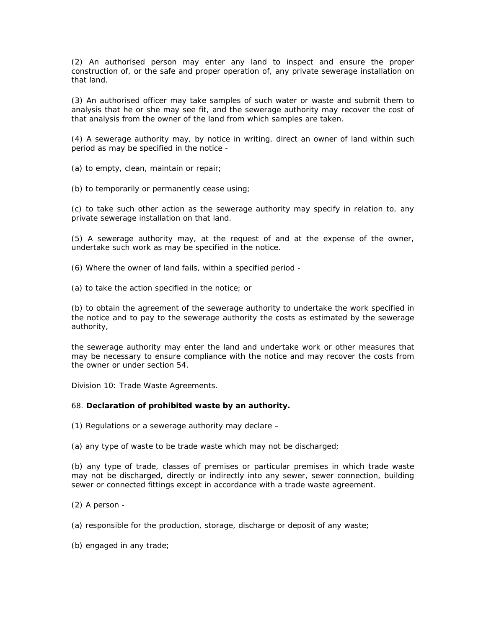(2) An authorised person may enter any land to inspect and ensure the proper construction of, or the safe and proper operation of, any private sewerage installation on that land.

(3) An authorised officer may take samples of such water or waste and submit them to analysis that he or she may see fit, and the sewerage authority may recover the cost of that analysis from the owner of the land from which samples are taken.

(4) A sewerage authority may, by notice in writing, direct an owner of land within such period as may be specified in the notice -

(a) to empty, clean, maintain or repair;

(b) to temporarily or permanently cease using;

(c) to take such other action as the sewerage authority may specify in relation to, any private sewerage installation on that land.

(5) A sewerage authority may, at the request of and at the expense of the owner, undertake such work as may be specified in the notice.

(6) Where the owner of land fails, within a specified period -

(a) to take the action specified in the notice; or

(b) to obtain the agreement of the sewerage authority to undertake the work specified in the notice and to pay to the sewerage authority the costs as estimated by the sewerage authority,

the sewerage authority may enter the land and undertake work or other measures that may be necessary to ensure compliance with the notice and may recover the costs from the owner or under section 54.

Division 10: Trade Waste Agreements.

## 68. **Declaration of prohibited waste by an authority.**

(1) Regulations or a sewerage authority may declare –

(a) any type of waste to be trade waste which may not be discharged;

(b) any type of trade, classes of premises or particular premises in which trade waste may not be discharged, directly or indirectly into any sewer, sewer connection, building sewer or connected fittings except in accordance with a trade waste agreement.

(2) A person -

(a) responsible for the production, storage, discharge or deposit of any waste;

(b) engaged in any trade;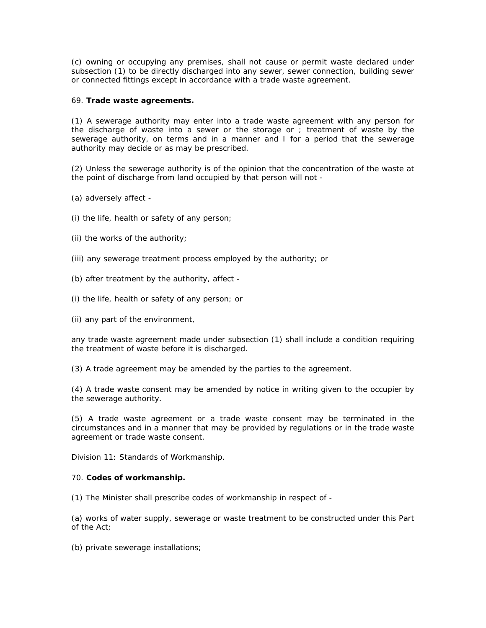(c) owning or occupying any premises, shall not cause or permit waste declared under subsection (1) to be directly discharged into any sewer, sewer connection, building sewer or connected fittings except in accordance with a trade waste agreement.

## 69. **Trade waste agreements.**

(1) A sewerage authority may enter into a trade waste agreement with any person for the discharge of waste into a sewer or the storage or ; treatment of waste by the sewerage authority, on terms and in a manner and I for a period that the sewerage authority may decide or as may be prescribed.

(2) Unless the sewerage authority is of the opinion that the concentration of the waste at the point of discharge from land occupied by that person will not -

- (a) adversely affect -
- (i) the life, health or safety of any person;
- (ii) the works of the authority;
- (iii) any sewerage treatment process employed by the authority; or
- (b) after treatment by the authority, affect -
- (i) the life, health or safety of any person; or
- (ii) any part of the environment,

any trade waste agreement made under subsection (1) shall include a condition requiring the treatment of waste before it is discharged.

(3) A trade agreement may be amended by the parties to the agreement.

(4) A trade waste consent may be amended by notice in writing given to the occupier by the sewerage authority.

(5) A trade waste agreement or a trade waste consent may be terminated in the circumstances and in a manner that may be provided by regulations or in the trade waste agreement or trade waste consent.

Division 11: Standards of Workmanship.

#### 70. **Codes of workmanship.**

(1) The Minister shall prescribe codes of workmanship in respect of -

(a) works of water supply, sewerage or waste treatment to be constructed under this Part of the Act;

(b) private sewerage installations;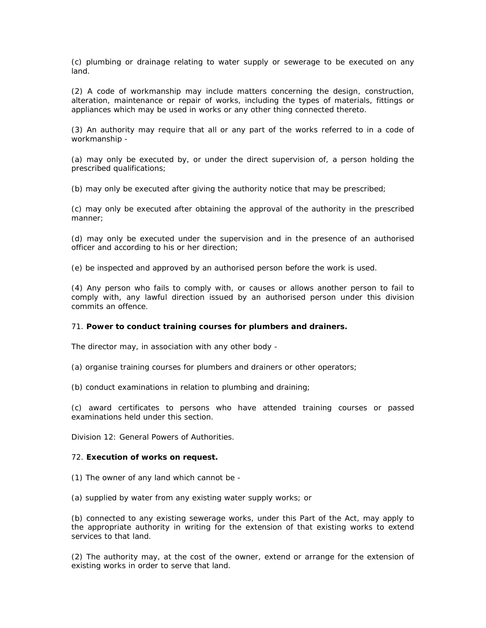(c) plumbing or drainage relating to water supply or sewerage to be executed on any land.

(2) A code of workmanship may include matters concerning the design, construction, alteration, maintenance or repair of works, including the types of materials, fittings or appliances which may be used in works or any other thing connected thereto.

(3) An authority may require that all or any part of the works referred to in a code of workmanship -

(a) may only be executed by, or under the direct supervision of, a person holding the prescribed qualifications;

(b) may only be executed after giving the authority notice that may be prescribed;

(c) may only be executed after obtaining the approval of the authority in the prescribed manner;

(d) may only be executed under the supervision and in the presence of an authorised officer and according to his or her direction;

(e) be inspected and approved by an authorised person before the work is used.

(4) Any person who fails to comply with, or causes or allows another person to fail to comply with, any lawful direction issued by an authorised person under this division commits an offence.

#### 71. **Power to conduct training courses for plumbers and drainers.**

The director may, in association with any other body -

(a) organise training courses for plumbers and drainers or other operators;

(b) conduct examinations in relation to plumbing and draining;

(c) award certificates to persons who have attended training courses or passed examinations held under this section.

Division 12: General Powers of Authorities.

### 72. **Execution of works on request.**

- (1) The owner of any land which cannot be -
- (a) supplied by water from any existing water supply works; or

(b) connected to any existing sewerage works, under this Part of the Act, may apply to the appropriate authority in writing for the extension of that existing works to extend services to that land.

(2) The authority may, at the cost of the owner, extend or arrange for the extension of existing works in order to serve that land.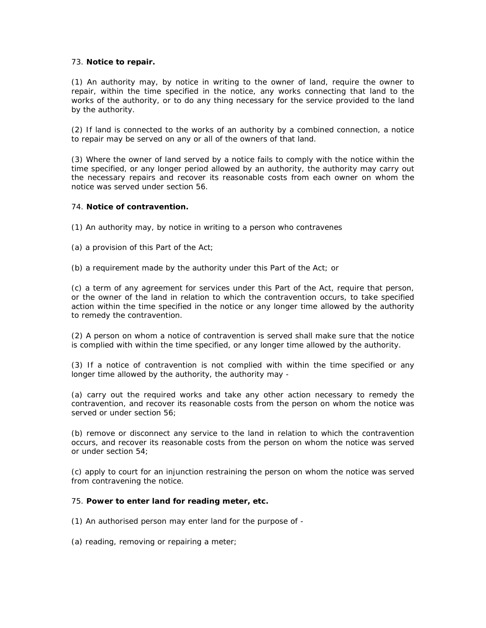## 73. **Notice to repair.**

(1) An authority may, by notice in writing to the owner of land, require the owner to repair, within the time specified in the notice, any works connecting that land to the works of the authority, or to do any thing necessary for the service provided to the land by the authority.

(2) If land is connected to the works of an authority by a combined connection, a notice to repair may be served on any or all of the owners of that land.

(3) Where the owner of land served by a notice fails to comply with the notice within the time specified, or any longer period allowed by an authority, the authority may carry out the necessary repairs and recover its reasonable costs from each owner on whom the notice was served under section 56.

## 74. **Notice of contravention.**

(1) An authority may, by notice in writing to a person who contravenes

(a) a provision of this Part of the Act;

(b) a requirement made by the authority under this Part of the Act; or

(c) a term of any agreement for services under this Part of the Act, require that person, or the owner of the land in relation to which the contravention occurs, to take specified action within the time specified in the notice or any longer time allowed by the authority to remedy the contravention.

(2) A person on whom a notice of contravention is served shall make sure that the notice is complied with within the time specified, or any longer time allowed by the authority.

(3) If a notice of contravention is not complied with within the time specified or any longer time allowed by the authority, the authority may -

(a) carry out the required works and take any other action necessary to remedy the contravention, and recover its reasonable costs from the person on whom the notice was served or under section 56;

(b) remove or disconnect any service to the land in relation to which the contravention occurs, and recover its reasonable costs from the person on whom the notice was served or under section 54;

(c) apply to court for an injunction restraining the person on whom the notice was served from contravening the notice.

#### 75. **Power to enter land for reading meter, etc.**

(1) An authorised person may enter land for the purpose of -

(a) reading, removing or repairing a meter;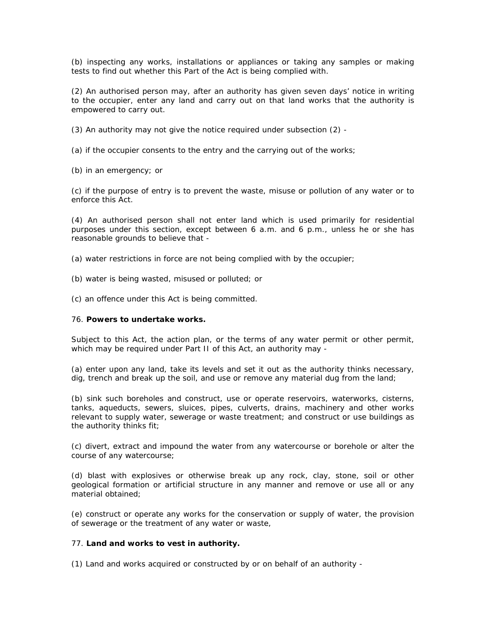(b) inspecting any works, installations or appliances or taking any samples or making tests to find out whether this Part of the Act is being complied with.

(2) An authorised person may, after an authority has given seven days' notice in writing to the occupier, enter any land and carry out on that land works that the authority is empowered to carry out.

(3) An authority may not give the notice required under subsection (2) -

(a) if the occupier consents to the entry and the carrying out of the works;

(b) in an emergency; or

(c) if the purpose of entry is to prevent the waste, misuse or pollution of any water or to enforce this Act.

(4) An authorised person shall not enter land which is used primarily for residential purposes under this section, except between 6 a.m. and 6 p.m., unless he or she has reasonable grounds to believe that -

(a) water restrictions in force are not being complied with by the occupier;

(b) water is being wasted, misused or polluted; or

(c) an offence under this Act is being committed.

#### 76. **Powers to undertake works.**

Subject to this Act, the action plan, or the terms of any water permit or other permit, which may be required under Part II of this Act, an authority may -

(a) enter upon any land, take its levels and set it out as the authority thinks necessary, dig, trench and break up the soil, and use or remove any material dug from the land;

(b) sink such boreholes and construct, use or operate reservoirs, waterworks, cisterns, tanks, aqueducts, sewers, sluices, pipes, culverts, drains, machinery and other works relevant to supply water, sewerage or waste treatment; and construct or use buildings as the authority thinks fit;

(c) divert, extract and impound the water from any watercourse or borehole or alter the course of any watercourse;

(d) blast with explosives or otherwise break up any rock, clay, stone, soil or other geological formation or artificial structure in any manner and remove or use all or any material obtained;

(e) construct or operate any works for the conservation or supply of water, the provision of sewerage or the treatment of any water or waste,

## 77. **Land and works to vest in authority.**

(1) Land and works acquired or constructed by or on behalf of an authority -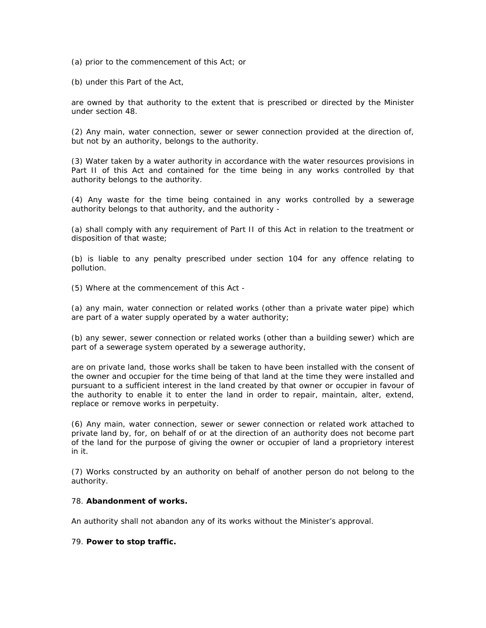(a) prior to the commencement of this Act; or

(b) under this Part of the Act,

are owned by that authority to the extent that is prescribed or directed by the Minister under section 48.

(2) Any main, water connection, sewer or sewer connection provided at the direction of, but not by an authority, belongs to the authority.

(3) Water taken by a water authority in accordance with the water resources provisions in Part II of this Act and contained for the time being in any works controlled by that authority belongs to the authority.

(4) Any waste for the time being contained in any works controlled by a sewerage authority belongs to that authority, and the authority -

(a) shall comply with any requirement of Part II of this Act in relation to the treatment or disposition of that waste;

(b) is liable to any penalty prescribed under section 104 for any offence relating to pollution.

(5) Where at the commencement of this Act -

(a) any main, water connection or related works (other than a private water pipe) which are part of a water supply operated by a water authority;

(b) any sewer, sewer connection or related works (other than a building sewer) which are part of a sewerage system operated by a sewerage authority,

are on private land, those works shall be taken to have been installed with the consent of the owner and occupier for the time being of that land at the time they were installed and pursuant to a sufficient interest in the land created by that owner or occupier in favour of the authority to enable it to enter the land in order to repair, maintain, alter, extend, replace or remove works in perpetuity.

(6) Any main, water connection, sewer or sewer connection or related work attached to private land by, for, on behalf of or at the direction of an authority does not become part of the land for the purpose of giving the owner or occupier of land a proprietory interest in it.

(7) Works constructed by an authority on behalf of another person do not belong to the authority.

## 78. **Abandonment of works.**

An authority shall not abandon any of its works without the Minister's approval.

#### 79. **Power to stop traffic.**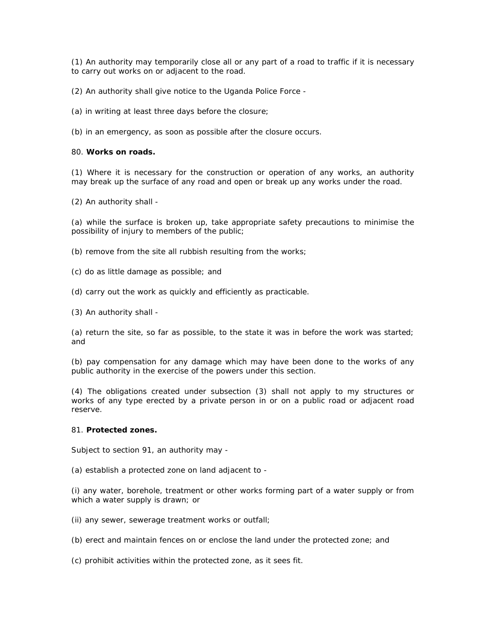(1) An authority may temporarily close all or any part of a road to traffic if it is necessary to carry out works on or adjacent to the road.

(2) An authority shall give notice to the Uganda Police Force -

(a) in writing at least three days before the closure;

(b) in an emergency, as soon as possible after the closure occurs.

#### 80. **Works on roads.**

(1) Where it is necessary for the construction or operation of any works, an authority may break up the surface of any road and open or break up any works under the road.

(2) An authority shall -

(a) while the surface is broken up, take appropriate safety precautions to minimise the possibility of injury to members of the public;

(b) remove from the site all rubbish resulting from the works;

- (c) do as little damage as possible; and
- (d) carry out the work as quickly and efficiently as practicable.
- (3) An authority shall -

(a) return the site, so far as possible, to the state it was in before the work was started; and

(b) pay compensation for any damage which may have been done to the works of any public authority in the exercise of the powers under this section.

(4) The obligations created under subsection (3) shall not apply to my structures or works of any type erected by a private person in or on a public road or adjacent road reserve.

## 81. **Protected zones.**

Subject to section 91, an authority may -

(a) establish a protected zone on land adjacent to -

(i) any water, borehole, treatment or other works forming part of a water supply or from which a water supply is drawn; or

(ii) any sewer, sewerage treatment works or outfall;

(b) erect and maintain fences on or enclose the land under the protected zone; and

(c) prohibit activities within the protected zone, as it sees fit.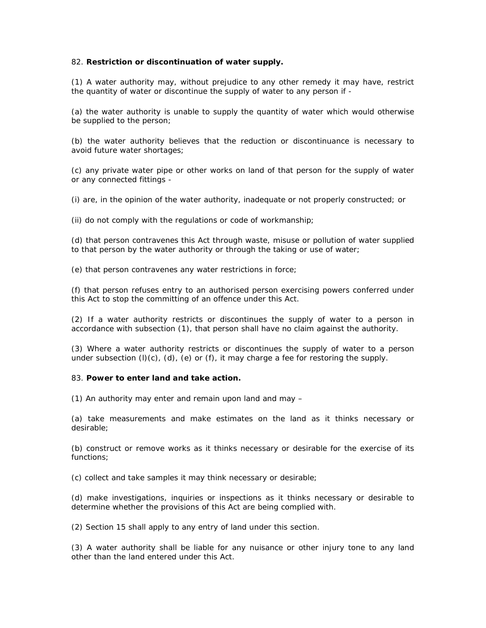### 82. **Restriction or discontinuation of water supply.**

(1) A water authority may, without prejudice to any other remedy it may have, restrict the quantity of water or discontinue the supply of water to any person if -

(a) the water authority is unable to supply the quantity of water which would otherwise be supplied to the person;

(b) the water authority believes that the reduction or discontinuance is necessary to avoid future water shortages;

(c) any private water pipe or other works on land of that person for the supply of water or any connected fittings -

(i) are, in the opinion of the water authority, inadequate or not properly constructed; or

(ii) do not comply with the regulations or code of workmanship;

(d) that person contravenes this Act through waste, misuse or pollution of water supplied to that person by the water authority or through the taking or use of water;

(e) that person contravenes any water restrictions in force;

(f) that person refuses entry to an authorised person exercising powers conferred under this Act to stop the committing of an offence under this Act.

(2) If a water authority restricts or discontinues the supply of water to a person in accordance with subsection (1), that person shall have no claim against the authority.

(3) Where a water authority restricts or discontinues the supply of water to a person under subsection  $(l)(c)$ ,  $(d)$ ,  $(e)$  or  $(f)$ , it may charge a fee for restoring the supply.

### 83. **Power to enter land and take action.**

(1) An authority may enter and remain upon land and may –

(a) take measurements and make estimates on the land as it thinks necessary or desirable;

(b) construct or remove works as it thinks necessary or desirable for the exercise of its functions;

(c) collect and take samples it may think necessary or desirable;

(d) make investigations, inquiries or inspections as it thinks necessary or desirable to determine whether the provisions of this Act are being complied with.

(2) Section 15 shall apply to any entry of land under this section.

(3) A water authority shall be liable for any nuisance or other injury tone to any land other than the land entered under this Act.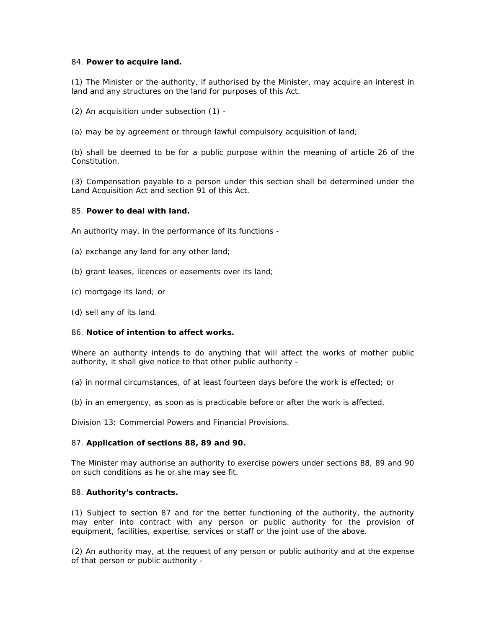#### 84. **Power to acquire land.**

(1) The Minister or the authority, if authorised by the Minister, may acquire an interest in land and any structures on the land for purposes of this Act.

(2) An acquisition under subsection (1) -

(a) may be by agreement or through lawful compulsory acquisition of land;

(b) shall be deemed to be for a public purpose within the meaning of article 26 of the Constitution.

(3) Compensation payable to a person under this section shall be determined under the Land Acquisition Act and section 91 of this Act.

#### 85. **Power to deal with land.**

An authority may, in the performance of its functions -

- (a) exchange any land for any other land;
- (b) grant leases, licences or easements over its land;
- (c) mortgage its land; or
- (d) sell any of its land.

## 86. **Notice of intention to affect works.**

Where an authority intends to do anything that will affect the works of mother public authority, it shall give notice to that other public authority -

(a) in normal circumstances, of at least fourteen days before the work is effected; or

(b) in an emergency, as soon as is practicable before or after the work is affected.

Division 13: Commercial Powers and Financial Provisions.

## 87. **Application of sections 88, 89 and 90.**

The Minister may authorise an authority to exercise powers under sections 88, 89 and 90 on such conditions as he or she may see fit.

#### 88. **Authority's contracts.**

(1) Subject to section 87 and for the better functioning of the authority, the authority may enter into contract with any person or public authority for the provision of equipment, facilities, expertise, services or staff or the joint use of the above.

(2) An authority may, at the request of any person or public authority and at the expense of that person or public authority -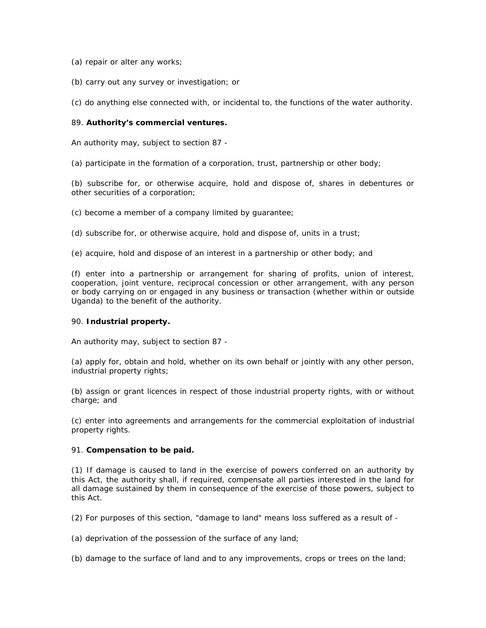- (a) repair or alter any works;
- (b) carry out any survey or investigation; or

(c) do anything else connected with, or incidental to, the functions of the water authority.

## 89. **Authority's commercial ventures.**

An authority may, subject to section 87 -

(a) participate in the formation of a corporation, trust, partnership or other body;

(b) subscribe for, or otherwise acquire, hold and dispose of, shares in debentures or other securities of a corporation;

(c) become a member of a company limited by guarantee;

(d) subscribe for, or otherwise acquire, hold and dispose of, units in a trust;

(e) acquire, hold and dispose of an interest in a partnership or other body; and

(f) enter into a partnership or arrangement for sharing of profits, union of interest, cooperation, joint venture, reciprocal concession or other arrangement, with any person or body carrying on or engaged in any business or transaction (whether within or outside Uganda) to the benefit of the authority.

#### 90. **Industrial property.**

An authority may, subject to section 87 -

(a) apply for, obtain and hold, whether on its own behalf or jointly with any other person, industrial property rights;

(b) assign or grant licences in respect of those industrial property rights, with or without charge; and

(c) enter into agreements and arrangements for the commercial exploitation of industrial property rights.

#### 91. **Compensation to be paid.**

(1) If damage is caused to land in the exercise of powers conferred on an authority by this Act, the authority shall, if required, compensate all parties interested in the land for all damage sustained by them in consequence of the exercise of those powers, subject to this Act.

(2) For purposes of this section, "damage to land" means loss suffered as a result of -

(a) deprivation of the possession of the surface of any land;

(b) damage to the surface of land and to any improvements, crops or trees on the land;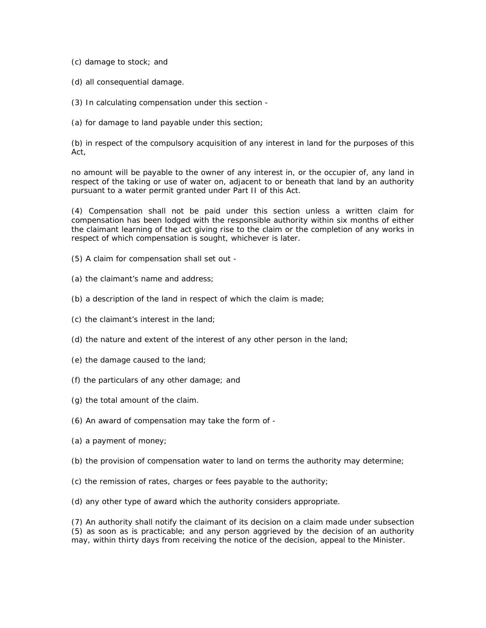(c) damage to stock; and

- (d) all consequential damage.
- (3) In calculating compensation under this section -
- (a) for damage to land payable under this section;

(b) in respect of the compulsory acquisition of any interest in land for the purposes of this Act,

no amount will be payable to the owner of any interest in, or the occupier of, any land in respect of the taking or use of water on, adjacent to or beneath that land by an authority pursuant to a water permit granted under Part II of this Act.

(4) Compensation shall not be paid under this section unless a written claim for compensation has been lodged with the responsible authority within six months of either the claimant learning of the act giving rise to the claim or the completion of any works in respect of which compensation is sought, whichever is later.

- (5) A claim for compensation shall set out -
- (a) the claimant's name and address;
- (b) a description of the land in respect of which the claim is made;
- (c) the claimant's interest in the land;
- (d) the nature and extent of the interest of any other person in the land;
- (e) the damage caused to the land;
- (f) the particulars of any other damage; and
- (g) the total amount of the claim.
- (6) An award of compensation may take the form of -
- (a) a payment of money;
- (b) the provision of compensation water to land on terms the authority may determine;
- (c) the remission of rates, charges or fees payable to the authority;
- (d) any other type of award which the authority considers appropriate.

(7) An authority shall notify the claimant of its decision on a claim made under subsection (5) as soon as is practicable; and any person aggrieved by the decision of an authority may, within thirty days from receiving the notice of the decision, appeal to the Minister.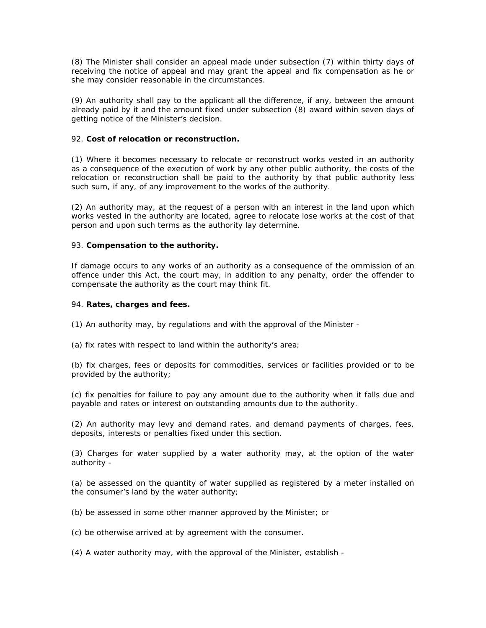(8) The Minister shall consider an appeal made under subsection (7) within thirty days of receiving the notice of appeal and may grant the appeal and fix compensation as he or she may consider reasonable in the circumstances.

(9) An authority shall pay to the applicant all the difference, if any, between the amount already paid by it and the amount fixed under subsection (8) award within seven days of getting notice of the Minister's decision.

## 92. **Cost of relocation or reconstruction.**

(1) Where it becomes necessary to relocate or reconstruct works vested in an authority as a consequence of the execution of work by any other public authority, the costs of the relocation or reconstruction shall be paid to the authority by that public authority less such sum, if any, of any improvement to the works of the authority.

(2) An authority may, at the request of a person with an interest in the land upon which works vested in the authority are located, agree to relocate lose works at the cost of that person and upon such terms as the authority lay determine.

## 93. **Compensation to the authority.**

If damage occurs to any works of an authority as a consequence of the ommission of an offence under this Act, the court may, in addition to any penalty, order the offender to compensate the authority as the court may think fit.

#### 94. **Rates, charges and fees.**

(1) An authority may, by regulations and with the approval of the Minister -

(a) fix rates with respect to land within the authority's area;

(b) fix charges, fees or deposits for commodities, services or facilities provided or to be provided by the authority;

(c) fix penalties for failure to pay any amount due to the authority when it falls due and payable and rates or interest on outstanding amounts due to the authority.

(2) An authority may levy and demand rates, and demand payments of charges, fees, deposits, interests or penalties fixed under this section.

(3) Charges for water supplied by a water authority may, at the option of the water authority -

(a) be assessed on the quantity of water supplied as registered by a meter installed on the consumer's land by the water authority;

(b) be assessed in some other manner approved by the Minister; or

(c) be otherwise arrived at by agreement with the consumer.

(4) A water authority may, with the approval of the Minister, establish -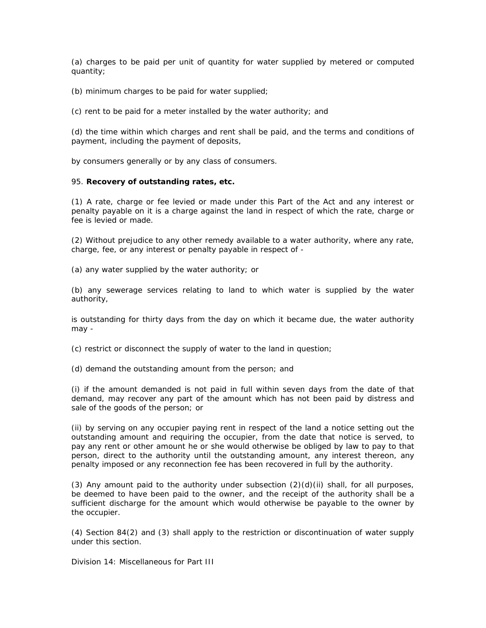(a) charges to be paid per unit of quantity for water supplied by metered or computed quantity;

(b) minimum charges to be paid for water supplied;

(c) rent to be paid for a meter installed by the water authority; and

(d) the time within which charges and rent shall be paid, and the terms and conditions of payment, including the payment of deposits,

by consumers generally or by any class of consumers.

#### 95. **Recovery of outstanding rates, etc.**

(1) A rate, charge or fee levied or made under this Part of the Act and any interest or penalty payable on it is a charge against the land in respect of which the rate, charge or fee is levied or made.

(2) Without prejudice to any other remedy available to a water authority, where any rate, charge, fee, or any interest or penalty payable in respect of -

(a) any water supplied by the water authority; or

(b) any sewerage services relating to land to which water is supplied by the water authority,

is outstanding for thirty days from the day on which it became due, the water authority may -

(c) restrict or disconnect the supply of water to the land in question;

(d) demand the outstanding amount from the person; and

(i) if the amount demanded is not paid in full within seven days from the date of that demand, may recover any part of the amount which has not been paid by distress and sale of the goods of the person; or

(ii) by serving on any occupier paying rent in respect of the land a notice setting out the outstanding amount and requiring the occupier, from the date that notice is served, to pay any rent or other amount he or she would otherwise be obliged by law to pay to that person, direct to the authority until the outstanding amount, any interest thereon, any penalty imposed or any reconnection fee has been recovered in full by the authority.

(3) Any amount paid to the authority under subsection  $(2)(d)(ii)$  shall, for all purposes, be deemed to have been paid to the owner, and the receipt of the authority shall be a sufficient discharge for the amount which would otherwise be payable to the owner by the occupier.

(4) Section 84(2) and (3) shall apply to the restriction or discontinuation of water supply under this section.

Division 14: Miscellaneous for Part III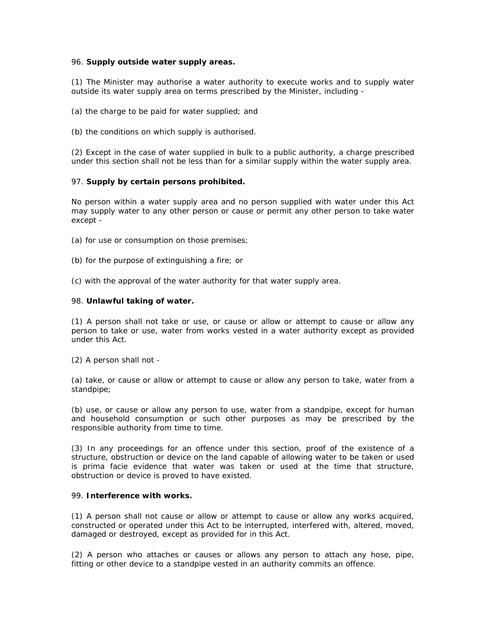#### 96. **Supply outside water supply areas.**

(1) The Minister may authorise a water authority to execute works and to supply water outside its water supply area on terms prescribed by the Minister, including -

(a) the charge to be paid for water supplied; and

(b) the conditions on which supply is authorised.

(2) Except in the case of water supplied in bulk to a public authority, a charge prescribed under this section shall not be less than for a similar supply within the water supply area.

#### 97. **Supply by certain persons prohibited.**

No person within a water supply area and no person supplied with water under this Act may supply water to any other person or cause or permit any other person to take water except -

- (a) for use or consumption on those premises;
- (b) for the purpose of extinguishing a fire; or
- (c) with the approval of the water authority for that water supply area.

#### 98. **Unlawful taking of water.**

(1) A person shall not take or use, or cause or allow or attempt to cause or allow any person to take or use, water from works vested in a water authority except as provided under this Act.

(2) A person shall not -

(a) take, or cause or allow or attempt to cause or allow any person to take, water from a standpipe;

(b) use, or cause or allow any person to use, water from a standpipe, except for human and household consumption or such other purposes as may be prescribed by the responsible authority from time to time.

(3) In any proceedings for an offence under this section, proof of the existence of a structure, obstruction or device on the land capable of allowing water to be taken or used is prima facie evidence that water was taken or used at the time that structure, obstruction or device is proved to have existed.

#### 99. **Interference with works.**

(1) A person shall not cause or allow or attempt to cause or allow any works acquired, constructed or operated under this Act to be interrupted, interfered with, altered, moved, damaged or destroyed, except as provided for in this Act.

(2) A person who attaches or causes or allows any person to attach any hose, pipe, fitting or other device to a standpipe vested in an authority commits an offence.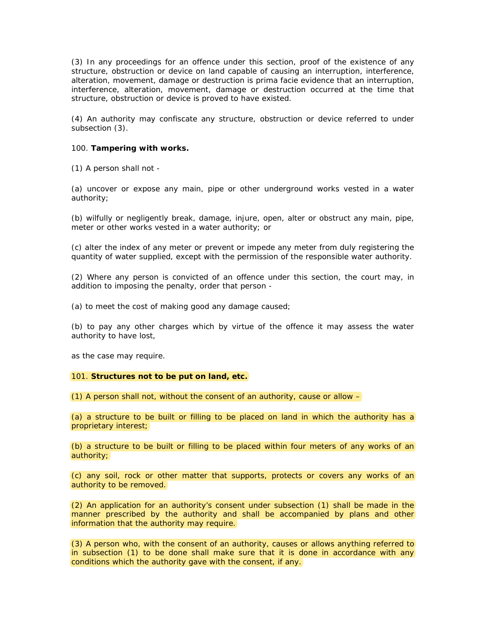(3) In any proceedings for an offence under this section, proof of the existence of any structure, obstruction or device on land capable of causing an interruption, interference, alteration, movement, damage or destruction is prima facie evidence that an interruption, interference, alteration, movement, damage or destruction occurred at the time that structure, obstruction or device is proved to have existed.

(4) An authority may confiscate any structure, obstruction or device referred to under subsection (3).

#### 100. **Tampering with works.**

(1) A person shall not -

(a) uncover or expose any main, pipe or other underground works vested in a water authority;

(b) wilfully or negligently break, damage, injure, open, alter or obstruct any main, pipe, meter or other works vested in a water authority; or

(c) alter the index of any meter or prevent or impede any meter from duly registering the quantity of water supplied, except with the permission of the responsible water authority.

(2) Where any person is convicted of an offence under this section, the court may, in addition to imposing the penalty, order that person -

(a) to meet the cost of making good any damage caused;

(b) to pay any other charges which by virtue of the offence it may assess the water authority to have lost,

as the case may require.

#### 101. **Structures not to be put on land, etc.**

(1) A person shall not, without the consent of an authority, cause or allow  $-$ 

(a) a structure to be built or filling to be placed on land in which the authority has a proprietary interest;

(b) a structure to be built or filling to be placed within four meters of any works of an authority;

(c) any soil, rock or other matter that supports, protects or covers any works of an authority to be removed.

(2) An application for an authority's consent under subsection (1) shall be made in the manner prescribed by the authority and shall be accompanied by plans and other information that the authority may require.

(3) A person who, with the consent of an authority, causes or allows anything referred to in subsection (1) to be done shall make sure that it is done in accordance with any conditions which the authority gave with the consent, if any.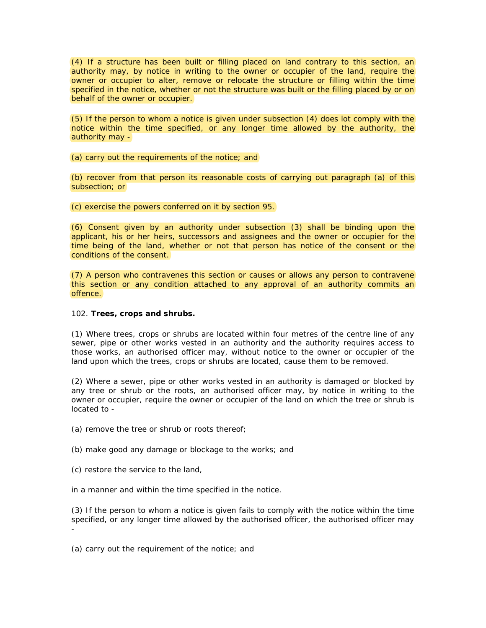(4) If a structure has been built or filling placed on land contrary to this section, an authority may, by notice in writing to the owner or occupier of the land, require the owner or occupier to alter, remove or relocate the structure or filling within the time specified in the notice, whether or not the structure was built or the filling placed by or on behalf of the owner or occupier.

(5) If the person to whom a notice is given under subsection (4) does lot comply with the notice within the time specified, or any longer time allowed by the authority, the authority may -

(a) carry out the requirements of the notice; and

(b) recover from that person its reasonable costs of carrying out paragraph (a) of this subsection; or

(c) exercise the powers conferred on it by section 95.

(6) Consent given by an authority under subsection (3) shall be binding upon the applicant, his or her heirs, successors and assignees and the owner or occupier for the time being of the land, whether or not that person has notice of the consent or the conditions of the consent.

(7) A person who contravenes this section or causes or allows any person to contravene this section or any condition attached to any approval of an authority commits an offence.

## 102. **Trees, crops and shrubs.**

(1) Where trees, crops or shrubs are located within four metres of the centre line of any sewer, pipe or other works vested in an authority and the authority requires access to those works, an authorised officer may, without notice to the owner or occupier of the land upon which the trees, crops or shrubs are located, cause them to be removed.

(2) Where a sewer, pipe or other works vested in an authority is damaged or blocked by any tree or shrub or the roots, an authorised officer may, by notice in writing to the owner or occupier, require the owner or occupier of the land on which the tree or shrub is located to -

(a) remove the tree or shrub or roots thereof;

(b) make good any damage or blockage to the works; and

(c) restore the service to the land,

in a manner and within the time specified in the notice.

(3) If the person to whom a notice is given fails to comply with the notice within the time specified, or any longer time allowed by the authorised officer, the authorised officer may -

(a) carry out the requirement of the notice; and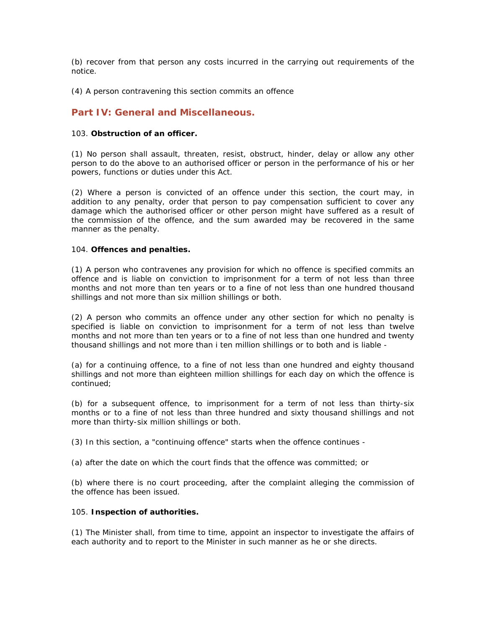(b) recover from that person any costs incurred in the carrying out requirements of the notice.

(4) A person contravening this section commits an offence

## **Part IV: General and Miscellaneous.**

#### 103. **Obstruction of an officer.**

(1) No person shall assault, threaten, resist, obstruct, hinder, delay or allow any other person to do the above to an authorised officer or person in the performance of his or her powers, functions or duties under this Act.

(2) Where a person is convicted of an offence under this section, the court may, in addition to any penalty, order that person to pay compensation sufficient to cover any damage which the authorised officer or other person might have suffered as a result of the commission of the offence, and the sum awarded may be recovered in the same manner as the penalty.

## 104. **Offences and penalties.**

(1) A person who contravenes any provision for which no offence is specified commits an offence and is liable on conviction to imprisonment for a term of not less than three months and not more than ten years or to a fine of not less than one hundred thousand shillings and not more than six million shillings or both.

(2) A person who commits an offence under any other section for which no penalty is specified is liable on conviction to imprisonment for a term of not less than twelve months and not more than ten years or to a fine of not less than one hundred and twenty thousand shillings and not more than i ten million shillings or to both and is liable -

(a) for a continuing offence, to a fine of not less than one hundred and eighty thousand shillings and not more than eighteen million shillings for each day on which the offence is continued;

(b) for a subsequent offence, to imprisonment for a term of not less than thirty-six months or to a fine of not less than three hundred and sixty thousand shillings and not more than thirty-six million shillings or both.

(3) In this section, a "continuing offence" starts when the offence continues -

(a) after the date on which the court finds that the offence was committed; or

(b) where there is no court proceeding, after the complaint alleging the commission of the offence has been issued.

## 105. **Inspection of authorities.**

(1) The Minister shall, from time to time, appoint an inspector to investigate the affairs of each authority and to report to the Minister in such manner as he or she directs.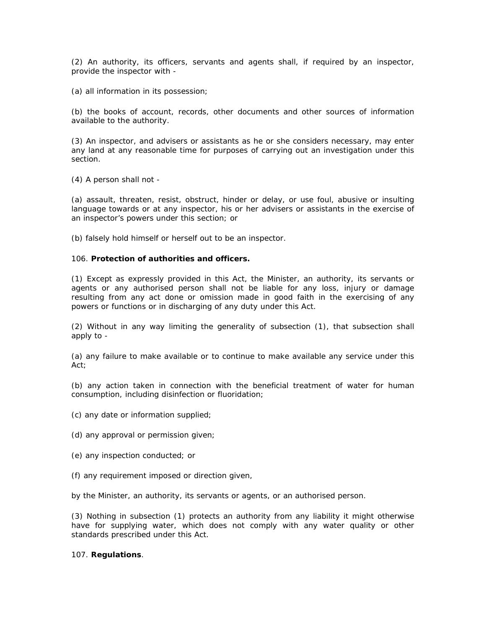(2) An authority, its officers, servants and agents shall, if required by an inspector, provide the inspector with -

(a) all information in its possession;

(b) the books of account, records, other documents and other sources of information available to the authority.

(3) An inspector, and advisers or assistants as he or she considers necessary, may enter any land at any reasonable time for purposes of carrying out an investigation under this section.

(4) A person shall not -

(a) assault, threaten, resist, obstruct, hinder or delay, or use foul, abusive or insulting language towards or at any inspector, his or her advisers or assistants in the exercise of an inspector's powers under this section; or

(b) falsely hold himself or herself out to be an inspector.

#### 106. **Protection of authorities and officers.**

(1) Except as expressly provided in this Act, the Minister, an authority, its servants or agents or any authorised person shall not be liable for any loss, injury or damage resulting from any act done or omission made in good faith in the exercising of any powers or functions or in discharging of any duty under this Act.

(2) Without in any way limiting the generality of subsection (1), that subsection shall apply to -

(a) any failure to make available or to continue to make available any service under this Act;

(b) any action taken in connection with the beneficial treatment of water for human consumption, including disinfection or fluoridation;

- (c) any date or information supplied;
- (d) any approval or permission given;
- (e) any inspection conducted; or
- (f) any requirement imposed or direction given,

by the Minister, an authority, its servants or agents, or an authorised person.

(3) Nothing in subsection (1) protects an authority from any liability it might otherwise have for supplying water, which does not comply with any water quality or other standards prescribed under this Act.

#### 107. **Regulations**.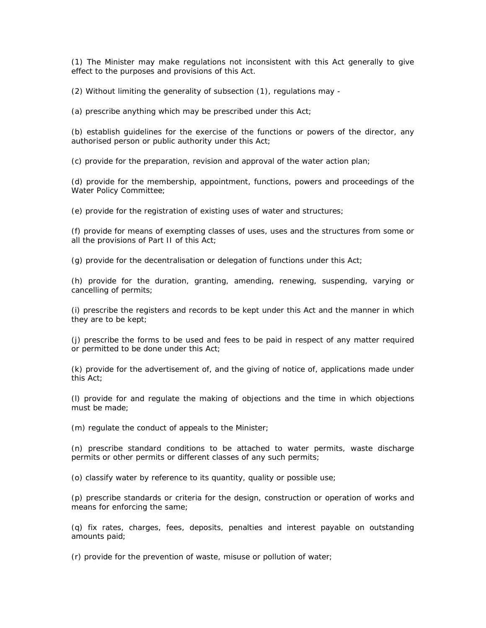(1) The Minister may make regulations not inconsistent with this Act generally to give effect to the purposes and provisions of this Act.

(2) Without limiting the generality of subsection (1), regulations may -

(a) prescribe anything which may be prescribed under this Act;

(b) establish guidelines for the exercise of the functions or powers of the director, any authorised person or public authority under this Act;

(c) provide for the preparation, revision and approval of the water action plan;

(d) provide for the membership, appointment, functions, powers and proceedings of the Water Policy Committee;

(e) provide for the registration of existing uses of water and structures;

(f) provide for means of exempting classes of uses, uses and the structures from some or all the provisions of Part II of this Act;

(g) provide for the decentralisation or delegation of functions under this Act;

(h) provide for the duration, granting, amending, renewing, suspending, varying or cancelling of permits;

(i) prescribe the registers and records to be kept under this Act and the manner in which they are to be kept;

(j) prescribe the forms to be used and fees to be paid in respect of any matter required or permitted to be done under this Act;

(k) provide for the advertisement of, and the giving of notice of, applications made under this Act;

(l) provide for and regulate the making of objections and the time in which objections must be made;

(m) regulate the conduct of appeals to the Minister;

(n) prescribe standard conditions to be attached to water permits, waste discharge permits or other permits or different classes of any such permits;

(o) classify water by reference to its quantity, quality or possible use;

(p) prescribe standards or criteria for the design, construction or operation of works and means for enforcing the same;

(q) fix rates, charges, fees, deposits, penalties and interest payable on outstanding amounts paid;

(r) provide for the prevention of waste, misuse or pollution of water;